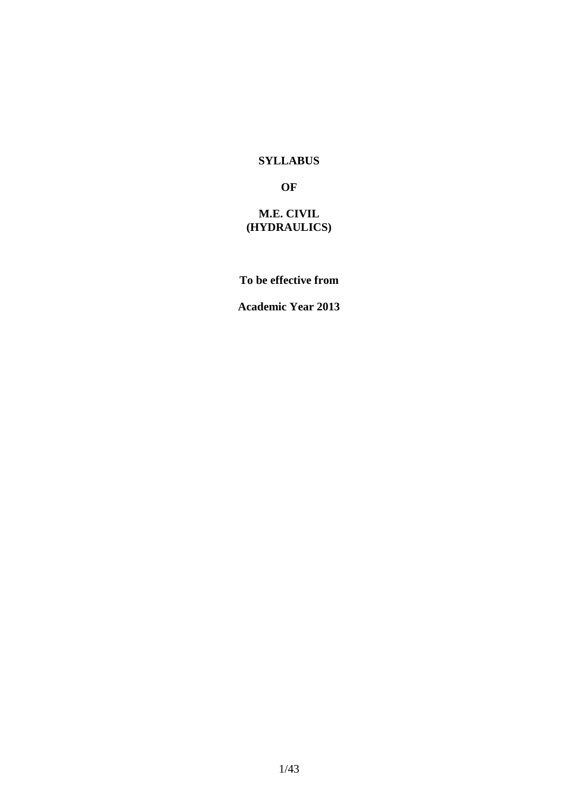#### **SYLLABUS**

#### **OF**

# **M.E. CIVIL (HYDRAULICS)**

# **To be effective from**

#### **Academic Year 2013**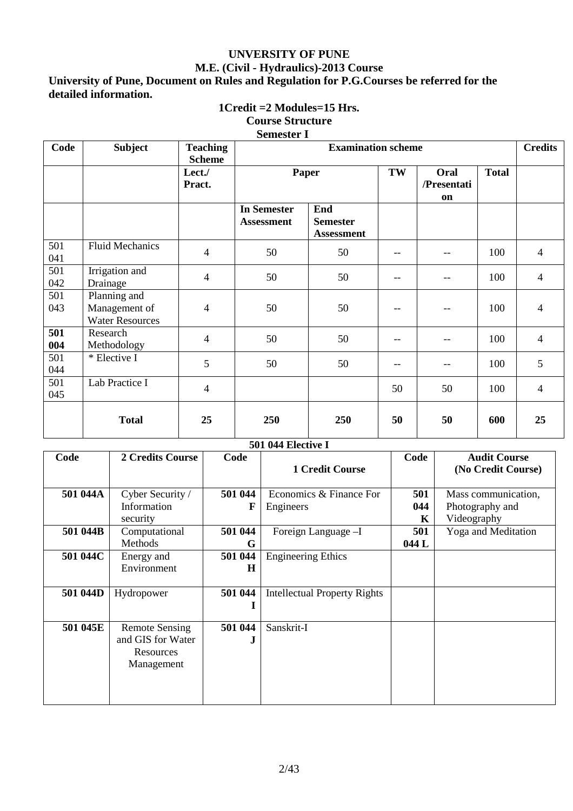# **UNVERSITY OF PUNE M.E. (Civil - Hydraulics)-2013 Course**

**University of Pune, Document on Rules and Regulation for P.G.Courses be referred for the detailed information.** 

# **1Credit =2 Modules=15 Hrs.**

# **Course Structure**

#### **Semester I**

| Code       | <b>Subject</b>                                          | <b>Teaching</b><br><b>Scheme</b> | <b>Examination scheme</b>               |                                             |                   |    |              | <b>Credits</b>           |
|------------|---------------------------------------------------------|----------------------------------|-----------------------------------------|---------------------------------------------|-------------------|----|--------------|--------------------------|
|            |                                                         | Lect./<br>Pract.                 | Paper                                   |                                             | TW<br>/Presentati |    | <b>Total</b> |                          |
|            |                                                         |                                  | <b>In Semester</b><br><b>Assessment</b> | End<br><b>Semester</b><br><b>Assessment</b> |                   |    |              |                          |
| 501<br>041 | <b>Fluid Mechanics</b>                                  | $\overline{4}$                   | 50                                      | 50                                          |                   |    | 100          | $\overline{4}$           |
| 501<br>042 | Irrigation and<br>Drainage                              | $\overline{4}$                   | 50                                      | 50                                          | $-$               |    | 100          | $\overline{4}$           |
| 501<br>043 | Planning and<br>Management of<br><b>Water Resources</b> | $\overline{4}$                   | 50                                      | 50                                          |                   |    | 100          | $\overline{4}$           |
| 501<br>004 | Research<br>Methodology                                 | $\overline{4}$                   | 50                                      | 50                                          |                   |    | 100          | 4                        |
| 501<br>044 | * Elective I                                            | 5                                | 50                                      | 50                                          | --                |    | 100          | 5                        |
| 501<br>045 | Lab Practice I                                          | $\overline{4}$                   |                                         |                                             | 50                | 50 | 100          | $\overline{\mathcal{A}}$ |
|            | <b>Total</b>                                            | 25                               | 250                                     | 250                                         | 50                | 50 | 600          | 25                       |

#### **501 044 Elective I**

| Code     | 2 Credits Course                                                      | Code         | <b>1 Credit Course</b>               | Code            | <b>Audit Course</b><br>(No Credit Course)             |
|----------|-----------------------------------------------------------------------|--------------|--------------------------------------|-----------------|-------------------------------------------------------|
| 501 044A | Cyber Security /<br>Information<br>security                           | 501 044<br>F | Economics & Finance For<br>Engineers | 501<br>044<br>K | Mass communication,<br>Photography and<br>Videography |
| 501 044B | Computational<br><b>Methods</b>                                       | 501 044<br>G | Foreign Language -I                  | 501<br>044 L    | <b>Yoga and Meditation</b>                            |
| 501 044C | Energy and<br>Environment                                             | 501 044<br>H | <b>Engineering Ethics</b>            |                 |                                                       |
| 501 044D | Hydropower                                                            | 501 044<br>1 | <b>Intellectual Property Rights</b>  |                 |                                                       |
| 501 045E | <b>Remote Sensing</b><br>and GIS for Water<br>Resources<br>Management | 501 044<br>J | Sanskrit-I                           |                 |                                                       |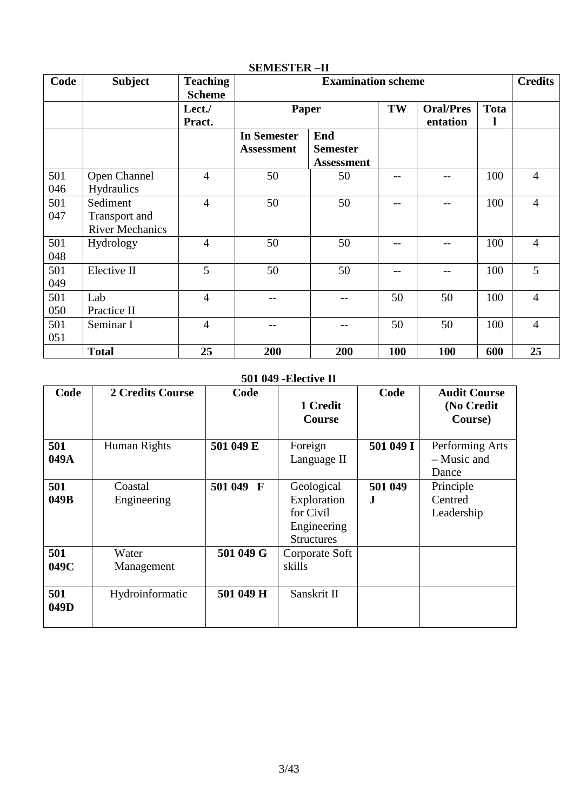| Code       | <b>Subject</b>                                      | <b>Teaching</b><br><b>Scheme</b> | <b>Examination scheme</b>               |                                             |     |                              |             | <b>Credits</b> |
|------------|-----------------------------------------------------|----------------------------------|-----------------------------------------|---------------------------------------------|-----|------------------------------|-------------|----------------|
|            |                                                     | Lect./<br>Pract.                 |                                         | Paper                                       |     | <b>Oral/Pres</b><br>entation | <b>Tota</b> |                |
|            |                                                     |                                  | <b>In Semester</b><br><b>Assessment</b> | End<br><b>Semester</b><br><b>Assessment</b> |     |                              |             |                |
| 501<br>046 | Open Channel<br>Hydraulics                          | $\overline{4}$                   | 50                                      | 50                                          | --  |                              | 100         | $\overline{4}$ |
| 501<br>047 | Sediment<br>Transport and<br><b>River Mechanics</b> | $\overline{4}$                   | 50                                      | 50                                          | --  | --                           | 100         | $\overline{4}$ |
| 501<br>048 | Hydrology                                           | $\overline{4}$                   | 50                                      | 50                                          | --  | --                           | 100         | 4              |
| 501<br>049 | Elective II                                         | 5                                | 50                                      | 50                                          |     |                              | 100         | 5              |
| 501<br>050 | Lab<br>Practice II                                  | $\overline{4}$                   | --                                      |                                             | 50  | 50                           | 100         | $\overline{4}$ |
| 501<br>051 | Seminar I                                           | $\overline{4}$                   | --                                      |                                             | 50  | 50                           | 100         | $\overline{4}$ |
|            | <b>Total</b>                                        | 25                               | 200                                     | 200                                         | 100 | 100                          | 600         | 25             |

# **SEMESTER –II**

# **501 049 -Elective II**

| Code        | 2 Credits Course       | Code      | 1 Credit<br><b>Course</b>                                                  | Code          | <b>Audit Course</b><br>(No Credit<br>Course) |
|-------------|------------------------|-----------|----------------------------------------------------------------------------|---------------|----------------------------------------------|
| 501<br>049A | Human Rights           | 501 049 E | Foreign<br>Language II                                                     | 501 049 I     | Performing Arts<br>- Music and<br>Dance      |
| 501<br>049B | Coastal<br>Engineering | 501 049 F | Geological<br>Exploration<br>for Civil<br>Engineering<br><b>Structures</b> | 501 049<br>J. | Principle<br>Centred<br>Leadership           |
| 501<br>049C | Water<br>Management    | 501 049 G | Corporate Soft<br>skills                                                   |               |                                              |
| 501<br>049D | Hydroinformatic        | 501 049 H | Sanskrit II                                                                |               |                                              |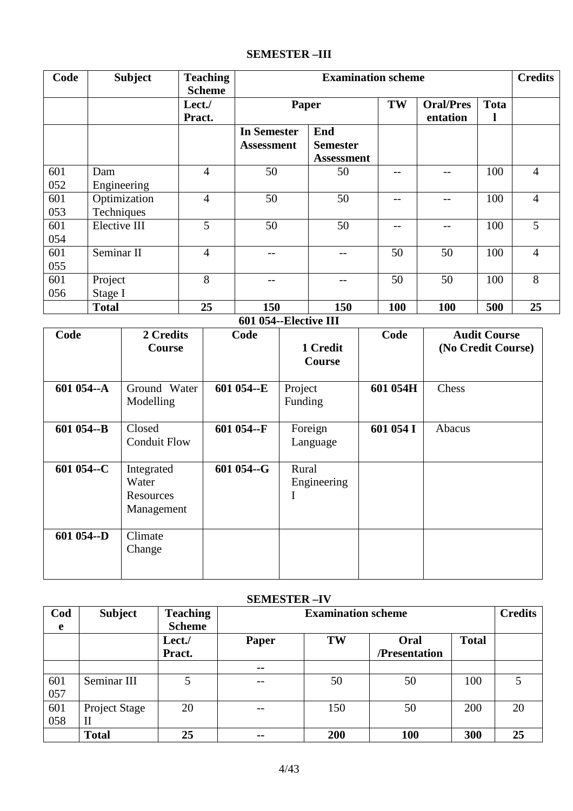# **SEMESTER –III**

| Code       | <b>Subject</b>             | <b>Teaching</b><br><b>Scheme</b> |                                         |                                             | <b>Credits</b> |                              |             |                |
|------------|----------------------------|----------------------------------|-----------------------------------------|---------------------------------------------|----------------|------------------------------|-------------|----------------|
|            |                            | Lect./<br>Pract.                 | Paper                                   |                                             | TW             | <b>Oral/Pres</b><br>entation | <b>Tota</b> |                |
|            |                            |                                  | <b>In Semester</b><br><b>Assessment</b> | End<br><b>Semester</b><br><b>Assessment</b> |                |                              |             |                |
| 601<br>052 | Dam<br>Engineering         | 4                                | 50                                      | 50                                          |                |                              | 100         | $\overline{4}$ |
| 601<br>053 | Optimization<br>Techniques | $\overline{4}$                   | 50                                      | 50                                          |                |                              | 100         | $\overline{4}$ |
| 601<br>054 | Elective III               | 5                                | 50                                      | 50                                          |                |                              | 100         | 5              |
| 601<br>055 | Seminar II                 | $\overline{4}$                   |                                         |                                             | 50             | 50                           | 100         | $\overline{4}$ |
| 601<br>056 | Project<br>Stage I         | 8                                |                                         |                                             | 50             | 50                           | 100         | 8              |
|            | <b>Total</b>               | 25                               | 150                                     | 150                                         | 100            | 100                          | 500         | 25             |

**601 054--Elective III** 

| Code       | 2 Credits<br><b>Course</b>                     | Code       | 1 Credit<br>Course   | Code      | <b>Audit Course</b><br>(No Credit Course) |
|------------|------------------------------------------------|------------|----------------------|-----------|-------------------------------------------|
| 601 054--A | Ground Water<br>Modelling                      | 601 054--E | Project<br>Funding   | 601 054H  | Chess                                     |
| 601 054--B | Closed<br><b>Conduit Flow</b>                  | 601 054--F | Foreign<br>Language  | 601 054 I | Abacus                                    |
| 601 054--C | Integrated<br>Water<br>Resources<br>Management | 601 054--G | Rural<br>Engineering |           |                                           |
| 601 054--D | Climate<br>Change                              |            |                      |           |                                           |

# **SEMESTER –IV**

| Cod | <b>Subject</b>       | <b>Teaching</b> | <b>Examination scheme</b> |     |               |              |    |
|-----|----------------------|-----------------|---------------------------|-----|---------------|--------------|----|
| e   |                      | <b>Scheme</b>   |                           |     |               |              |    |
|     |                      | Lect./          | Paper                     | TW  | Oral          | <b>Total</b> |    |
|     |                      | Pract.          |                           |     | /Presentation |              |    |
|     |                      |                 | $\sim$ $\sim$             |     |               |              |    |
| 601 | Seminar III          |                 | $- -$                     | 50  | 50            | 100          |    |
| 057 |                      |                 |                           |     |               |              |    |
| 601 | <b>Project Stage</b> | 20              | --                        | 150 | 50            | 200          | 20 |
| 058 | $\mathbf{I}$         |                 |                           |     |               |              |    |
|     | <b>Total</b>         | 25              | $\sim$ $\sim$             | 200 | 100           | 300          | 25 |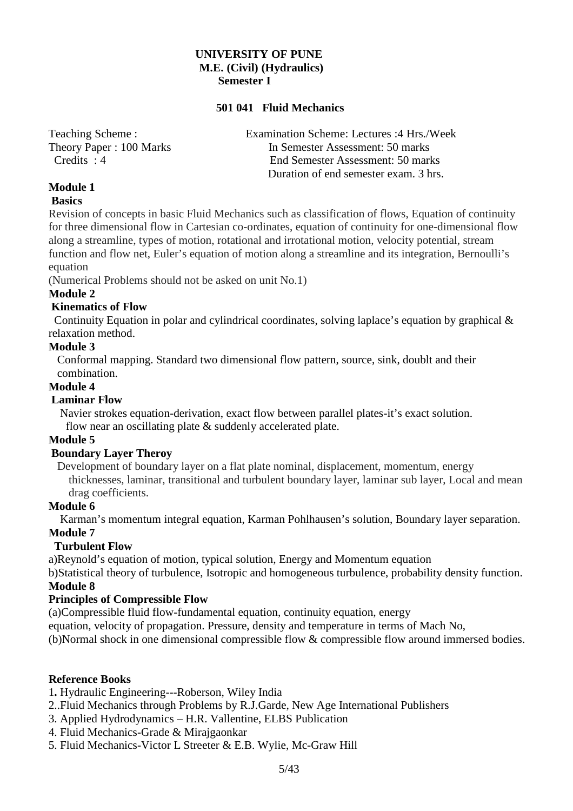#### **UNIVERSITY OF PUNE M.E. (Civil) (Hydraulics) Semester I**

#### **501 041 Fluid Mechanics**

Teaching Scheme : Examination Scheme: Lectures :4 Hrs./Week Theory Paper : 100 Marks In Semester Assessment: 50 marks Credits : 4 End Semester Assessment: 50 marks Duration of end semester exam. 3 hrs.

# **Module 1**

# **Basics**

Revision of concepts in basic Fluid Mechanics such as classification of flows, Equation of continuity for three dimensional flow in Cartesian co-ordinates, equation of continuity for one-dimensional flow along a streamline, types of motion, rotational and irrotational motion, velocity potential, stream function and flow net, Euler's equation of motion along a streamline and its integration, Bernoulli's equation

(Numerical Problems should not be asked on unit No.1)

# **Module 2**

# **Kinematics of Flow**

 Continuity Equation in polar and cylindrical coordinates, solving laplace's equation by graphical & relaxation method.

### **Module 3**

 Conformal mapping. Standard two dimensional flow pattern, source, sink, doublt and their combination.

#### **Module 4**

# **Laminar Flow**

 Navier strokes equation-derivation, exact flow between parallel plates-it's exact solution. flow near an oscillating plate & suddenly accelerated plate.

# **Module 5**

# **Boundary Layer Theroy**

 Development of boundary layer on a flat plate nominal, displacement, momentum, energy thicknesses, laminar, transitional and turbulent boundary layer, laminar sub layer, Local and mean drag coefficients.

#### **Module 6**

 Karman's momentum integral equation, Karman Pohlhausen's solution, Boundary layer separation. **Module 7** 

# **Turbulent Flow**

a)Reynold's equation of motion, typical solution, Energy and Momentum equation

b)Statistical theory of turbulence, Isotropic and homogeneous turbulence, probability density function. **Module 8** 

# **Principles of Compressible Flow**

(a)Compressible fluid flow-fundamental equation, continuity equation, energy

equation, velocity of propagation. Pressure, density and temperature in terms of Mach No,

(b)Normal shock in one dimensional compressible flow & compressible flow around immersed bodies.

#### **Reference Books**

1**.** Hydraulic Engineering---Roberson, Wiley India

- 2..Fluid Mechanics through Problems by R.J.Garde, New Age International Publishers
- 3. Applied Hydrodynamics H.R. Vallentine, ELBS Publication
- 4. Fluid Mechanics-Grade & Mirajgaonkar
- 5. Fluid Mechanics-Victor L Streeter & E.B. Wylie, Mc-Graw Hill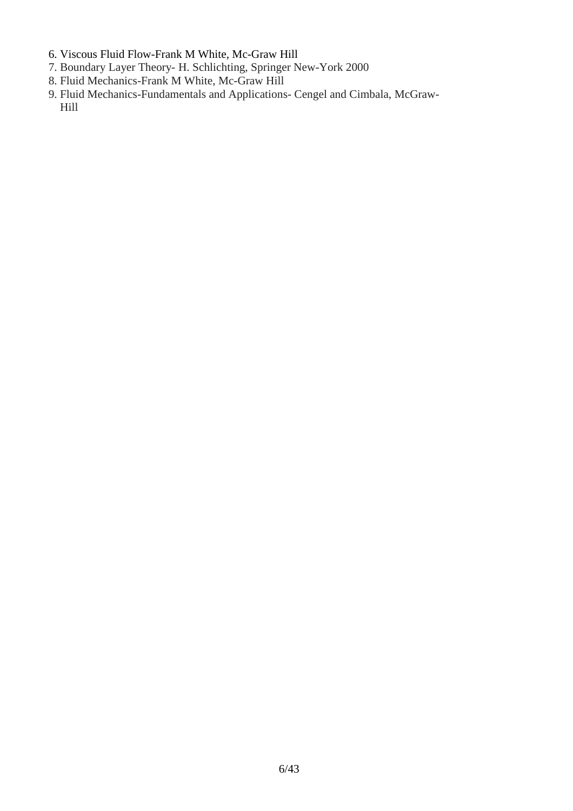- 6. Viscous Fluid Flow-Frank M White, Mc-Graw Hill
- 7. Boundary Layer Theory- H. Schlichting, Springer New-York 2000
- 8. Fluid Mechanics-Frank M White, Mc-Graw Hill
- 9. Fluid Mechanics-Fundamentals and Applications- Cengel and Cimbala, McGraw- Hill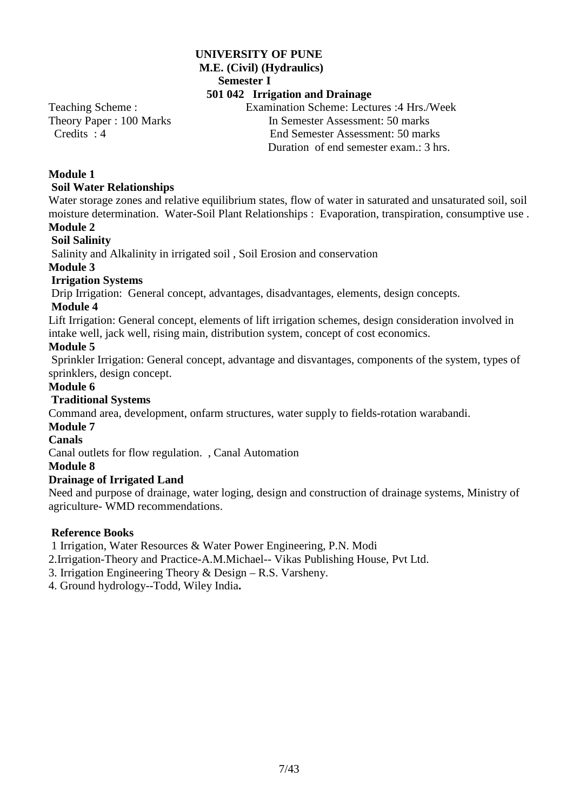#### **UNIVERSITY OF PUNE M.E. (Civil) (Hydraulics) Semester I 501 042 Irrigation and Drainage**

Teaching Scheme : Examination Scheme: Lectures :4 Hrs./Week Theory Paper : 100 Marks In Semester Assessment: 50 marks

 Credits : 4 End Semester Assessment: 50 marks Duration of end semester exam.: 3 hrs.

# **Module 1**

# **Soil Water Relationships**

Water storage zones and relative equilibrium states, flow of water in saturated and unsaturated soil, soil moisture determination. Water-Soil Plant Relationships : Evaporation, transpiration, consumptive use .

# **Module 2**

# **Soil Salinity**

Salinity and Alkalinity in irrigated soil , Soil Erosion and conservation

### **Module 3**

# **Irrigation Systems**

Drip Irrigation: General concept, advantages, disadvantages, elements, design concepts.

### **Module 4**

Lift Irrigation: General concept, elements of lift irrigation schemes, design consideration involved in intake well, jack well, rising main, distribution system, concept of cost economics.

# **Module 5**

 Sprinkler Irrigation: General concept, advantage and disvantages, components of the system, types of sprinklers, design concept.

### **Module 6**

# **Traditional Systems**

Command area, development, onfarm structures, water supply to fields-rotation warabandi.

#### **Module 7**

# **Canals**

Canal outlets for flow regulation. , Canal Automation

#### **Module 8**

# **Drainage of Irrigated Land**

Need and purpose of drainage, water loging, design and construction of drainage systems, Ministry of agriculture- WMD recommendations.

# **Reference Books**

1 Irrigation, Water Resources & Water Power Engineering, P.N. Modi

2.Irrigation-Theory and Practice-A.M.Michael-- Vikas Publishing House, Pvt Ltd.

3. Irrigation Engineering Theory & Design – R.S. Varsheny.

4. Ground hydrology--Todd, Wiley India**.**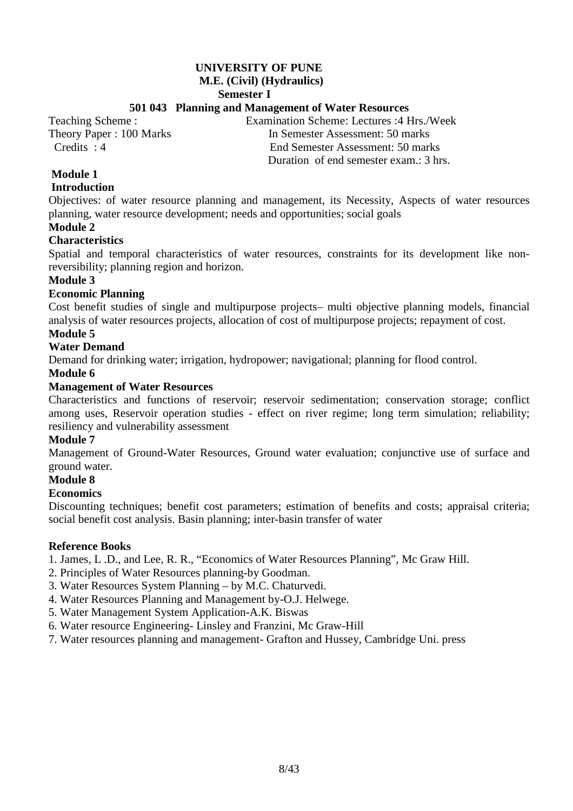# **UNIVERSITY OF PUNE**

#### **M.E. (Civil) (Hydraulics)**

 **Semester I** 

# **501 043 Planning and Management of Water Resources**

Teaching Scheme : Examination Scheme: Lectures :4 Hrs./Week Theory Paper : 100 Marks In Semester Assessment: 50 marks Credits : 4 End Semester Assessment: 50 marks Duration of end semester exam.: 3 hrs.

# **Module 1**

### **Introduction**

Objectives: of water resource planning and management, its Necessity, Aspects of water resources planning, water resource development; needs and opportunities; social goals

# **Module 2**

# **Characteristics**

Spatial and temporal characteristics of water resources, constraints for its development like nonreversibility; planning region and horizon.

# **Module 3**

# **Economic Planning**

Cost benefit studies of single and multipurpose projects– multi objective planning models, financial analysis of water resources projects, allocation of cost of multipurpose projects; repayment of cost.

# **Module 5**

# **Water Demand**

Demand for drinking water; irrigation, hydropower; navigational; planning for flood control.

### **Module 6**

### **Management of Water Resources**

Characteristics and functions of reservoir; reservoir sedimentation; conservation storage; conflict among uses, Reservoir operation studies - effect on river regime; long term simulation; reliability; resiliency and vulnerability assessment

# **Module 7**

Management of Ground-Water Resources, Ground water evaluation; conjunctive use of surface and ground water.

#### **Module 8**

#### **Economics**

Discounting techniques; benefit cost parameters; estimation of benefits and costs; appraisal criteria; social benefit cost analysis. Basin planning; inter-basin transfer of water

#### **Reference Books**

1. James, L .D., and Lee, R. R., "Economics of Water Resources Planning", Mc Graw Hill.

- 2. Principles of Water Resources planning-by Goodman.
- 3. Water Resources System Planning by M.C. Chaturvedi.
- 4. Water Resources Planning and Management by-O.J. Helwege.
- 5. Water Management System Application-A.K. Biswas
- 6. Water resource Engineering- Linsley and Franzini, Mc Graw-Hill
- 7. Water resources planning and management- Grafton and Hussey, Cambridge Uni. press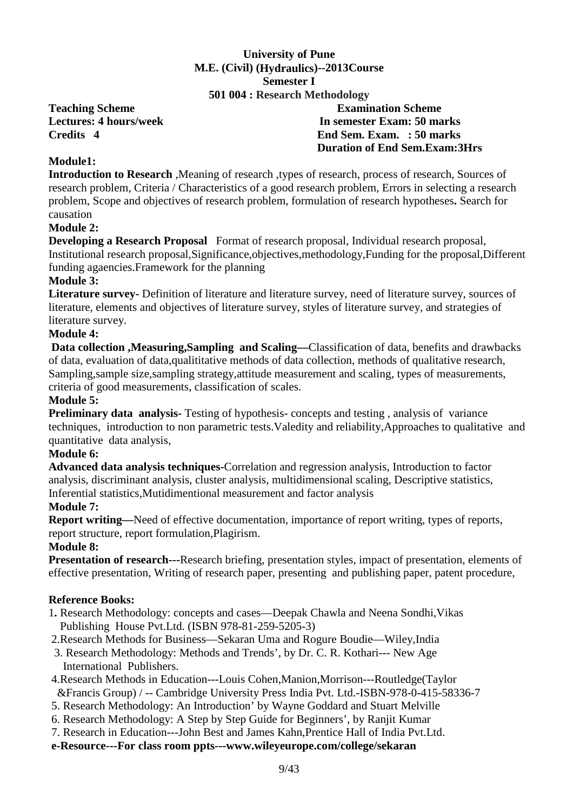# **University of Pune M.E. (Civil) (Hydraulics)--2013Course Semester I**

#### **501 004 : Research Methodology**

**Teaching Scheme Examination Scheme Lectures: 4 hours/week 11 Mars 20 Mars 20 Mars 20 Mars 20 Mars 20 Mars 20 Mars 20 Mars 20 Mars 20 Mars 20 Mars 20 Mars 20 Mars 20 Mars 20 Mars 20 Mars 20 Mars 20 Mars 20 Mars 20 Mars 20 Mars 20 Mars 20 Mars 20 Mars 20 Mar Credits 4 End Sem. Exam. : 50 marks Duration of End Sem.Exam:3Hrs** 

# **Module1:**

**Introduction to Research** ,Meaning of research ,types of research, process of research, Sources of research problem, Criteria / Characteristics of a good research problem, Errors in selecting a research problem, Scope and objectives of research problem, formulation of research hypotheses**.** Search for causation

### **Module 2:**

**Developing a Research Proposal** Format of research proposal, Individual research proposal, Institutional research proposal,Significance,objectives,methodology,Funding for the proposal,Different funding agaencies.Framework for the planning

### **Module 3:**

**Literature survey-** Definition of literature and literature survey, need of literature survey, sources of literature, elements and objectives of literature survey, styles of literature survey, and strategies of literature survey.

# **Module 4:**

 **Data collection ,Measuring,Sampling and Scaling—**Classification of data, benefits and drawbacks of data, evaluation of data,qualititative methods of data collection, methods of qualitative research, Sampling,sample size,sampling strategy,attitude measurement and scaling, types of measurements, criteria of good measurements, classification of scales.

#### **Module 5:**

**Preliminary data analysis-** Testing of hypothesis- concepts and testing , analysis of variance techniques, introduction to non parametric tests.Valedity and reliability,Approaches to qualitative and quantitative data analysis,

#### **Module 6:**

**Advanced data analysis techniques-**Correlation and regression analysis, Introduction to factor analysis, discriminant analysis, cluster analysis, multidimensional scaling, Descriptive statistics, Inferential statistics,Mutidimentional measurement and factor analysis

# **Module 7:**

**Report writing—**Need of effective documentation, importance of report writing, types of reports, report structure, report formulation,Plagirism.

#### **Module 8:**

**Presentation of research---**Research briefing, presentation styles, impact of presentation, elements of effective presentation, Writing of research paper, presenting and publishing paper, patent procedure,

#### **Reference Books:**

- 1**.** Research Methodology: concepts and cases—Deepak Chawla and Neena Sondhi,Vikas Publishing House Pvt.Ltd. (ISBN 978-81-259-5205-3)
- 2.Research Methods for Business—Sekaran Uma and Rogure Boudie—Wiley,India
- 3. Research Methodology: Methods and Trends', by Dr. C. R. Kothari--- New Age International Publishers.
- 4.Research Methods in Education---Louis Cohen,Manion,Morrison---Routledge(Taylor &Francis Group) / -- Cambridge University Press India Pvt. Ltd.-ISBN-978-0-415-58336-7
- 5. Research Methodology: An Introduction' by Wayne Goddard and Stuart Melville
- 6. Research Methodology: A Step by Step Guide for Beginners', by Ranjit Kumar
- 7. Research in Education---John Best and James Kahn,Prentice Hall of India Pvt.Ltd.
- **e-Resource---For class room ppts---www.wileyeurope.com/college/sekaran**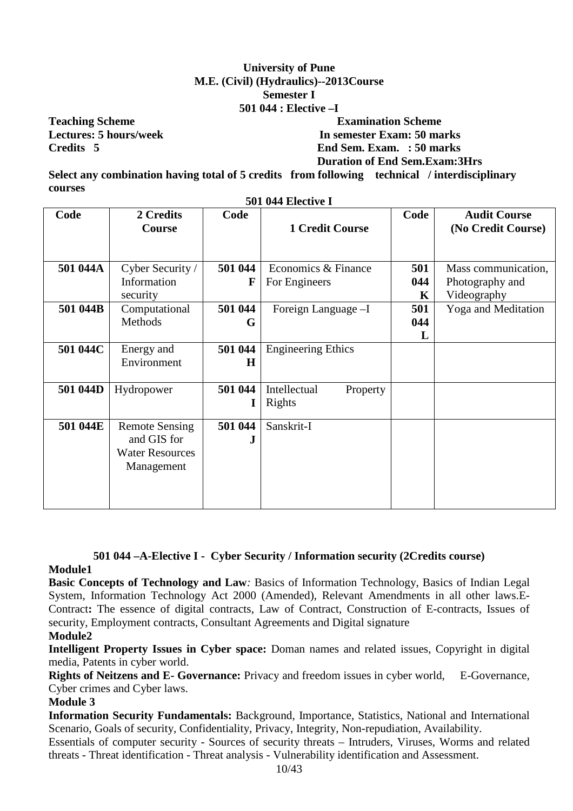# **University of Pune M.E. (Civil) (Hydraulics)--2013Course Semester I 501 044 : Elective –I**

# **Teaching Scheme Examination Scheme Lectures: 5 hours/week In semester Exam: 50 marks Credits 5 End Sem. Exam. : 50 marks Duration of End Sem.Exam:3Hrs**

**Select any combination having total of 5 credits from following technical / interdisciplinary courses 501 044 Elective I** 

| <b>SUL 044 EIECUVE L</b> |                                                                              |                    |                                      |                 |                                                       |  |  |  |  |
|--------------------------|------------------------------------------------------------------------------|--------------------|--------------------------------------|-----------------|-------------------------------------------------------|--|--|--|--|
| Code                     | 2 Credits<br><b>Course</b>                                                   | Code               | <b>1 Credit Course</b>               | Code            | <b>Audit Course</b><br>(No Credit Course)             |  |  |  |  |
| 501 044A                 | Cyber Security /<br>Information<br>security                                  | 501 044<br>F       | Economics & Finance<br>For Engineers | 501<br>044<br>K | Mass communication,<br>Photography and<br>Videography |  |  |  |  |
| 501 044B                 | Computational<br>Methods                                                     | 501 044<br>G       | Foreign Language -I                  | 501<br>044<br>L | <b>Yoga</b> and Meditation                            |  |  |  |  |
| 501 044C                 | Energy and<br>Environment                                                    | 501 044<br>$\bf H$ | <b>Engineering Ethics</b>            |                 |                                                       |  |  |  |  |
| 501 044D                 | Hydropower                                                                   | 501 044            | Intellectual<br>Property<br>Rights   |                 |                                                       |  |  |  |  |
| 501 044E                 | <b>Remote Sensing</b><br>and GIS for<br><b>Water Resources</b><br>Management | 501 044<br>J       | Sanskrit-I                           |                 |                                                       |  |  |  |  |

# **501 044 –A-Elective I - Cyber Security / Information security (2Credits course)**

#### **Module1**

**Basic Concepts of Technology and Law***:* Basics of Information Technology, Basics of Indian Legal System, Information Technology Act 2000 (Amended), Relevant Amendments in all other laws.E-Contract**:** The essence of digital contracts, Law of Contract, Construction of E-contracts, Issues of security, Employment contracts, Consultant Agreements and Digital signature

#### **Module2**

**Intelligent Property Issues in Cyber space:** Doman names and related issues, Copyright in digital media, Patents in cyber world.

**Rights of Neitzens and E- Governance:** Privacy and freedom issues in cyber world, E-Governance, Cyber crimes and Cyber laws.

### **Module 3**

**Information Security Fundamentals:** Background, Importance, Statistics, National and International Scenario, Goals of security, Confidentiality, Privacy, Integrity, Non-repudiation, Availability.

Essentials of computer security - Sources of security threats – Intruders, Viruses, Worms and related threats - Threat identification - Threat analysis - Vulnerability identification and Assessment.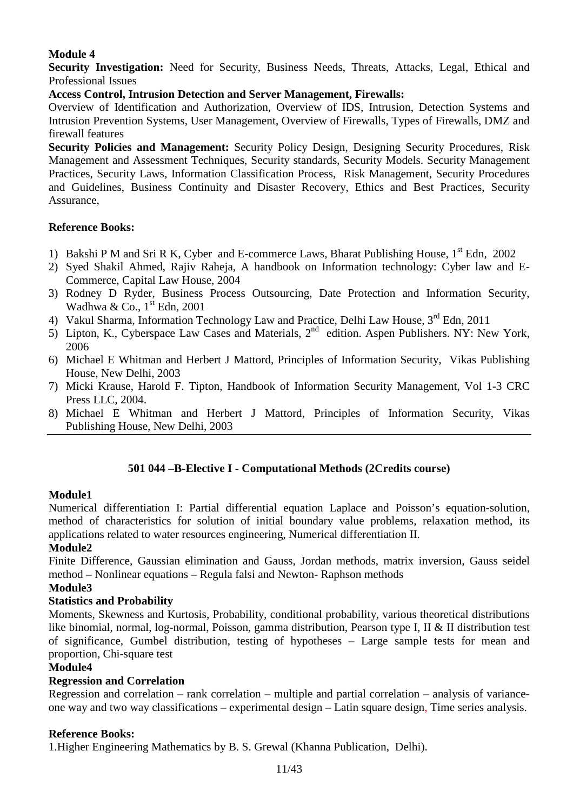**Security Investigation:** Need for Security, Business Needs, Threats, Attacks, Legal, Ethical and Professional Issues

# **Access Control, Intrusion Detection and Server Management, Firewalls:**

Overview of Identification and Authorization, Overview of IDS, Intrusion, Detection Systems and Intrusion Prevention Systems, User Management, Overview of Firewalls, Types of Firewalls, DMZ and firewall features

**Security Policies and Management:** Security Policy Design, Designing Security Procedures, Risk Management and Assessment Techniques, Security standards, Security Models. Security Management Practices, Security Laws, Information Classification Process, Risk Management, Security Procedures and Guidelines, Business Continuity and Disaster Recovery, Ethics and Best Practices, Security Assurance,

# **Reference Books:**

- 1) Bakshi P M and Sri R K, Cyber and E-commerce Laws, Bharat Publishing House,  $1<sup>st</sup>$  Edn, 2002
- 2) Syed Shakil Ahmed, Rajiv Raheja, A handbook on Information technology: Cyber law and E-Commerce, Capital Law House, 2004
- 3) Rodney D Ryder, Business Process Outsourcing, Date Protection and Information Security, Wadhwa & Co.,  $1<sup>st</sup>$  Edn, 2001
- 4) Vakul Sharma, Information Technology Law and Practice, Delhi Law House, 3<sup>rd</sup> Edn, 2011
- $\overrightarrow{5}$ ) Lipton, K., Cyberspace Law Cases and Materials,  $2^{nd}$  edition. Aspen Publishers. NY: New York, 2006
- 6) Michael E Whitman and Herbert J Mattord, Principles of Information Security, Vikas Publishing House, New Delhi, 2003
- 7) Micki Krause, Harold F. Tipton, Handbook of Information Security Management, Vol 1-3 CRC Press LLC, 2004.
- 8) Michael E Whitman and Herbert J Mattord, Principles of Information Security, Vikas Publishing House, New Delhi, 2003

# **501 044 –B-Elective I - Computational Methods (2Credits course)**

# **Module1**

Numerical differentiation I: Partial differential equation Laplace and Poisson's equation-solution, method of characteristics for solution of initial boundary value problems, relaxation method, its applications related to water resources engineering, Numerical differentiation II.

# **Module2**

Finite Difference, Gaussian elimination and Gauss, Jordan methods, matrix inversion, Gauss seidel method – Nonlinear equations – Regula falsi and Newton- Raphson methods

### **Module3**

# **Statistics and Probability**

Moments, Skewness and Kurtosis, Probability, conditional probability, various theoretical distributions like binomial, normal, log-normal, Poisson, gamma distribution, Pearson type I, II & II distribution test of significance, Gumbel distribution, testing of hypotheses – Large sample tests for mean and proportion, Chi-square test

#### **Module4**

# **Regression and Correlation**

Regression and correlation – rank correlation – multiple and partial correlation – analysis of varianceone way and two way classifications – experimental design – Latin square design, Time series analysis.

#### **Reference Books:**

1.Higher Engineering Mathematics by B. S. Grewal (Khanna Publication, Delhi).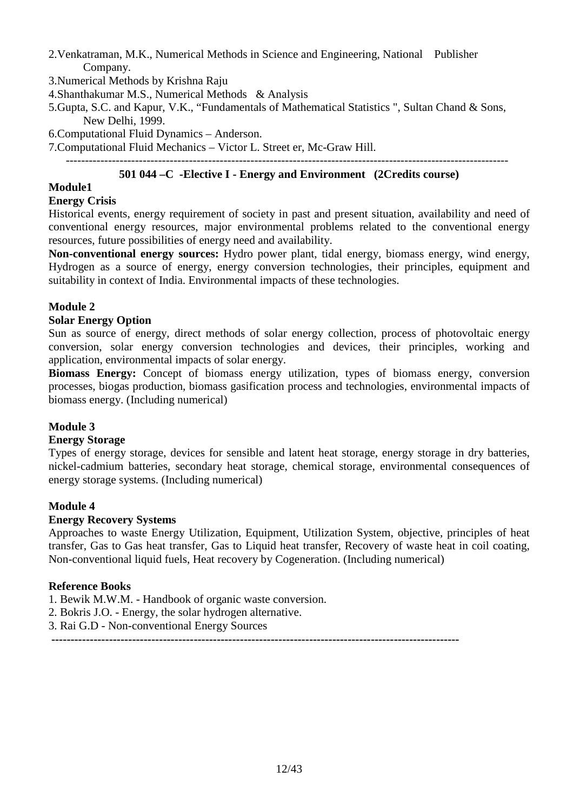- 2.Venkatraman, M.K., Numerical Methods in Science and Engineering, National Publisher Company.
- 3.Numerical Methods by Krishna Raju
- 4.Shanthakumar M.S., Numerical Methods & Analysis
- 5.Gupta, S.C. and Kapur, V.K., "Fundamentals of Mathematical Statistics ", Sultan Chand & Sons, New Delhi, 1999.

6.Computational Fluid Dynamics – Anderson.

7.Computational Fluid Mechanics – Victor L. Street er, Mc-Graw Hill.

# **501 044 –C -Elective I - Energy and Environment (2Credits course)**

# **Module1**

# **Energy Crisis**

Historical events, energy requirement of society in past and present situation, availability and need of conventional energy resources, major environmental problems related to the conventional energy resources, future possibilities of energy need and availability.

**Non-conventional energy sources:** Hydro power plant, tidal energy, biomass energy, wind energy, Hydrogen as a source of energy, energy conversion technologies, their principles, equipment and suitability in context of India. Environmental impacts of these technologies.

# **Module 2**

### **Solar Energy Option**

Sun as source of energy, direct methods of solar energy collection, process of photovoltaic energy conversion, solar energy conversion technologies and devices, their principles, working and application, environmental impacts of solar energy.

**Biomass Energy:** Concept of biomass energy utilization, types of biomass energy, conversion processes, biogas production, biomass gasification process and technologies, environmental impacts of biomass energy. (Including numerical)

# **Module 3**

#### **Energy Storage**

Types of energy storage, devices for sensible and latent heat storage, energy storage in dry batteries, nickel-cadmium batteries, secondary heat storage, chemical storage, environmental consequences of energy storage systems. (Including numerical)

#### **Module 4**

#### **Energy Recovery Systems**

Approaches to waste Energy Utilization, Equipment, Utilization System, objective, principles of heat transfer, Gas to Gas heat transfer, Gas to Liquid heat transfer, Recovery of waste heat in coil coating, Non-conventional liquid fuels, Heat recovery by Cogeneration. (Including numerical)

#### **Reference Books**

- 1. Bewik M.W.M. Handbook of organic waste conversion.
- 2. Bokris J.O. Energy, the solar hydrogen alternative.
- 3. Rai G.D Non-conventional Energy Sources

 **----------------------------------------------------------------------------------------------------------**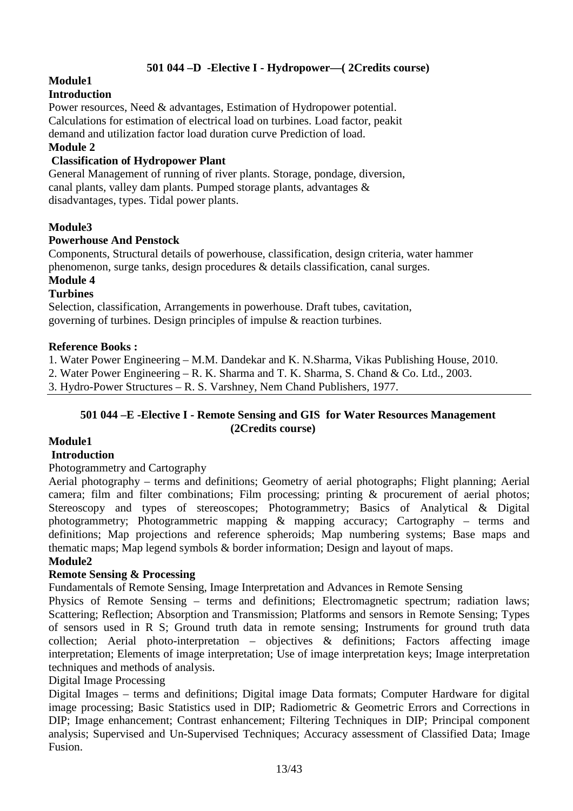# **501 044 –D -Elective I - Hydropower—( 2Credits course)**

# **Module1**

# **Introduction**

Power resources, Need & advantages, Estimation of Hydropower potential. Calculations for estimation of electrical load on turbines. Load factor, peakit demand and utilization factor load duration curve Prediction of load.

# **Module 2**

# **Classification of Hydropower Plant**

General Management of running of river plants. Storage, pondage, diversion, canal plants, valley dam plants. Pumped storage plants, advantages & disadvantages, types. Tidal power plants.

# **Module3**

### **Powerhouse And Penstock**

Components, Structural details of powerhouse, classification, design criteria, water hammer phenomenon, surge tanks, design procedures & details classification, canal surges.

# **Module 4**

# **Turbines**

Selection, classification, Arrangements in powerhouse. Draft tubes, cavitation, governing of turbines. Design principles of impulse & reaction turbines.

### **Reference Books :**

1. Water Power Engineering – M.M. Dandekar and K. N.Sharma, Vikas Publishing House, 2010.

2. Water Power Engineering – R. K. Sharma and T. K. Sharma, S. Chand & Co. Ltd., 2003.

3. Hydro-Power Structures – R. S. Varshney, Nem Chand Publishers, 1977.

### **501 044 –E -Elective I - Remote Sensing and GIS for Water Resources Management (2Credits course)**

# **Module1**

#### **Introduction**

#### Photogrammetry and Cartography

Aerial photography – terms and definitions; Geometry of aerial photographs; Flight planning; Aerial camera; film and filter combinations; Film processing; printing & procurement of aerial photos; Stereoscopy and types of stereoscopes; Photogrammetry; Basics of Analytical & Digital photogrammetry; Photogrammetric mapping & mapping accuracy; Cartography – terms and definitions; Map projections and reference spheroids; Map numbering systems; Base maps and thematic maps; Map legend symbols & border information; Design and layout of maps.

#### **Module2**

# **Remote Sensing & Processing**

Fundamentals of Remote Sensing, Image Interpretation and Advances in Remote Sensing

Physics of Remote Sensing – terms and definitions; Electromagnetic spectrum; radiation laws; Scattering; Reflection; Absorption and Transmission; Platforms and sensors in Remote Sensing; Types of sensors used in R S; Ground truth data in remote sensing; Instruments for ground truth data collection; Aerial photo-interpretation – objectives  $\&$  definitions; Factors affecting image interpretation; Elements of image interpretation; Use of image interpretation keys; Image interpretation techniques and methods of analysis.

#### Digital Image Processing

Digital Images – terms and definitions; Digital image Data formats; Computer Hardware for digital image processing; Basic Statistics used in DIP; Radiometric & Geometric Errors and Corrections in DIP; Image enhancement; Contrast enhancement; Filtering Techniques in DIP; Principal component analysis; Supervised and Un-Supervised Techniques; Accuracy assessment of Classified Data; Image Fusion.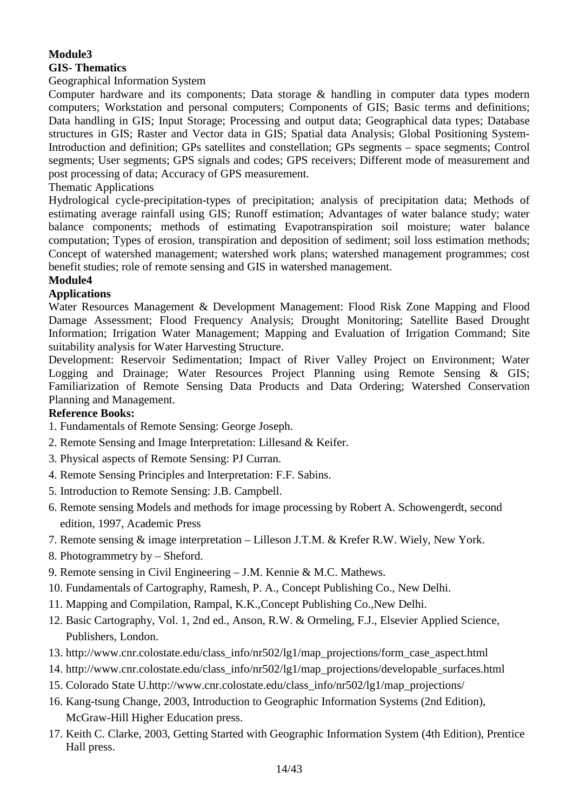# **Module3 GIS- Thematics**

# Geographical Information System

Computer hardware and its components; Data storage & handling in computer data types modern computers; Workstation and personal computers; Components of GIS; Basic terms and definitions; Data handling in GIS; Input Storage; Processing and output data; Geographical data types; Database structures in GIS; Raster and Vector data in GIS; Spatial data Analysis; Global Positioning System-Introduction and definition; GPs satellites and constellation; GPs segments – space segments; Control segments; User segments; GPS signals and codes; GPS receivers; Different mode of measurement and post processing of data; Accuracy of GPS measurement.

Thematic Applications

Hydrological cycle-precipitation-types of precipitation; analysis of precipitation data; Methods of estimating average rainfall using GIS; Runoff estimation; Advantages of water balance study; water balance components; methods of estimating Evapotranspiration soil moisture; water balance computation; Types of erosion, transpiration and deposition of sediment; soil loss estimation methods; Concept of watershed management; watershed work plans; watershed management programmes; cost benefit studies; role of remote sensing and GIS in watershed management.

### **Module4**

# **Applications**

Water Resources Management & Development Management: Flood Risk Zone Mapping and Flood Damage Assessment; Flood Frequency Analysis; Drought Monitoring; Satellite Based Drought Information; Irrigation Water Management; Mapping and Evaluation of Irrigation Command; Site suitability analysis for Water Harvesting Structure.

Development: Reservoir Sedimentation; Impact of River Valley Project on Environment; Water Logging and Drainage; Water Resources Project Planning using Remote Sensing & GIS; Familiarization of Remote Sensing Data Products and Data Ordering; Watershed Conservation Planning and Management.

#### **Reference Books:**

- 1. Fundamentals of Remote Sensing: George Joseph.
- 2. Remote Sensing and Image Interpretation: Lillesand & Keifer.
- 3. Physical aspects of Remote Sensing: PJ Curran.
- 4. Remote Sensing Principles and Interpretation: F.F. Sabins.
- 5. Introduction to Remote Sensing: J.B. Campbell.
- 6. Remote sensing Models and methods for image processing by Robert A. Schowengerdt, second edition, 1997, Academic Press
- 7. Remote sensing & image interpretation Lilleson J.T.M. & Krefer R.W. Wiely, New York.
- 8. Photogrammetry by Sheford.
- 9. Remote sensing in Civil Engineering J.M. Kennie & M.C. Mathews.
- 10. Fundamentals of Cartography, Ramesh, P. A., Concept Publishing Co., New Delhi.
- 11. Mapping and Compilation, Rampal, K.K.,Concept Publishing Co.,New Delhi.
- 12. Basic Cartography, Vol. 1, 2nd ed., Anson, R.W. & Ormeling, F.J., Elsevier Applied Science, Publishers, London.
- 13. http://www.cnr.colostate.edu/class\_info/nr502/lg1/map\_projections/form\_case\_aspect.html
- 14. http://www.cnr.colostate.edu/class\_info/nr502/lg1/map\_projections/developable\_surfaces.html
- 15. Colorado State U.http://www.cnr.colostate.edu/class\_info/nr502/lg1/map\_projections/
- 16. Kang-tsung Change, 2003, Introduction to Geographic Information Systems (2nd Edition), McGraw-Hill Higher Education press.
- 17. Keith C. Clarke, 2003, Getting Started with Geographic Information System (4th Edition), Prentice Hall press.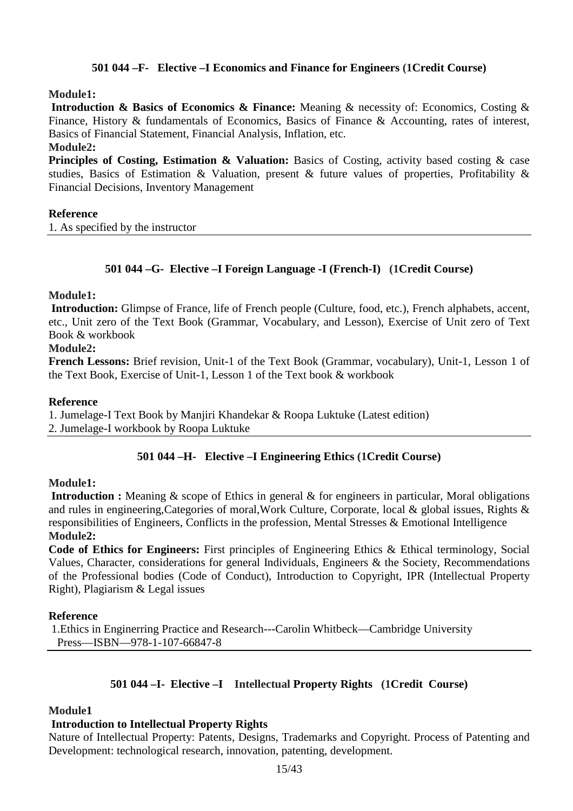# **501 044 –F- Elective –I Economics and Finance for Engineers (1Credit Course)**

#### **Module1:**

 **Introduction & Basics of Economics & Finance:** Meaning & necessity of: Economics, Costing & Finance, History & fundamentals of Economics, Basics of Finance & Accounting, rates of interest, Basics of Financial Statement, Financial Analysis, Inflation, etc.

#### **Module2:**

**Principles of Costing, Estimation & Valuation:** Basics of Costing, activity based costing & case studies, Basics of Estimation & Valuation, present & future values of properties, Profitability & Financial Decisions, Inventory Management

#### **Reference**

1. As specified by the instructor

# **501 044 –G- Elective –I Foreign Language -I (French-I) (1Credit Course)**

#### **Module1:**

 **Introduction:** Glimpse of France, life of French people (Culture, food, etc.), French alphabets, accent, etc., Unit zero of the Text Book (Grammar, Vocabulary, and Lesson), Exercise of Unit zero of Text Book & workbook

#### **Module2:**

**French Lessons:** Brief revision, Unit-1 of the Text Book (Grammar, vocabulary), Unit-1, Lesson 1 of the Text Book, Exercise of Unit-1, Lesson 1 of the Text book & workbook

#### **Reference**

1. Jumelage-I Text Book by Manjiri Khandekar & Roopa Luktuke (Latest edition) 2. Jumelage-I workbook by Roopa Luktuke

#### **501 044 –H- Elective –I Engineering Ethics (1Credit Course)**

#### **Module1:**

**Introduction :** Meaning & scope of Ethics in general & for engineers in particular, Moral obligations and rules in engineering,Categories of moral,Work Culture, Corporate, local & global issues, Rights & responsibilities of Engineers, Conflicts in the profession, Mental Stresses & Emotional Intelligence **Module2:** 

**Code of Ethics for Engineers:** First principles of Engineering Ethics & Ethical terminology, Social Values, Character, considerations for general Individuals, Engineers & the Society, Recommendations of the Professional bodies (Code of Conduct), Introduction to Copyright, IPR (Intellectual Property Right), Plagiarism & Legal issues

#### **Reference**

1.Ethics in Enginerring Practice and Research---Carolin Whitbeck—Cambridge University Press—ISBN—978-1-107-66847-8

#### **501 044 –I- Elective –I Intellectual Property Rights (1Credit Course)**

#### **Module1**

#### **Introduction to Intellectual Property Rights**

Nature of Intellectual Property: Patents, Designs, Trademarks and Copyright. Process of Patenting and Development: technological research, innovation, patenting, development.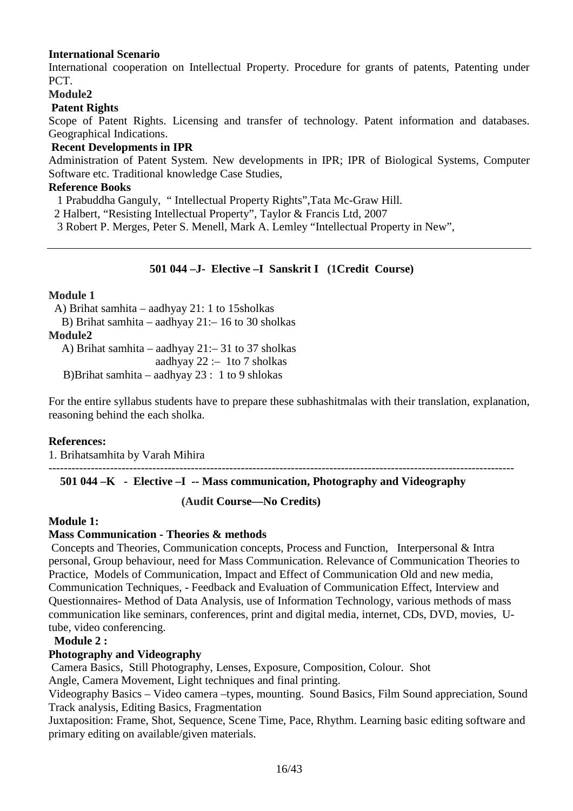### **International Scenario**

International cooperation on Intellectual Property. Procedure for grants of patents, Patenting under PCT.

# **Module2**

#### **Patent Rights**

Scope of Patent Rights. Licensing and transfer of technology. Patent information and databases. Geographical Indications.

#### **Recent Developments in IPR**

Administration of Patent System. New developments in IPR; IPR of Biological Systems, Computer Software etc. Traditional knowledge Case Studies,

#### **Reference Books**

1 Prabuddha Ganguly, " Intellectual Property Rights",Tata Mc-Graw Hill.

2 Halbert, "Resisting Intellectual Property", Taylor & Francis Ltd, 2007

3 Robert P. Merges, Peter S. Menell, Mark A. Lemley "Intellectual Property in New",

### **501 044 –J- Elective –I Sanskrit I (1Credit Course)**

#### **Module 1**

A) Brihat samhita – aadhyay 21: 1 to 15sholkas

B) Brihat samhita – aadhyay 21:– 16 to 30 sholkas

# **Module2**

A) Brihat samhita – aadhyay 21:– 31 to 37 sholkas aadhyay  $22 - 1$ to 7 sholkas B)Brihat samhita – aadhyay 23 : 1 to 9 shlokas

For the entire syllabus students have to prepare these subhashitmalas with their translation, explanation, reasoning behind the each sholka.

#### **References:**

1. Brihatsamhita by Varah Mihira

-------------------------------------------------------------------------------------------------------------------------

# **501 044 –K - Elective –I -- Mass communication, Photography and Videography**

 **(Audit Course—No Credits)** 

#### **Module 1:**

#### **Mass Communication - Theories & methods**

 Concepts and Theories, Communication concepts, Process and Function, Interpersonal & Intra personal, Group behaviour, need for Mass Communication. Relevance of Communication Theories to Practice, Models of Communication, Impact and Effect of Communication Old and new media, Communication Techniques, - Feedback and Evaluation of Communication Effect, Interview and Questionnaires- Method of Data Analysis, use of Information Technology, various methods of mass communication like seminars, conferences, print and digital media, internet, CDs, DVD, movies, Utube, video conferencing.

#### **Module 2 :**

#### **Photography and Videography**

Camera Basics, Still Photography, Lenses, Exposure, Composition, Colour. Shot

Angle, Camera Movement, Light techniques and final printing.

Videography Basics – Video camera –types, mounting. Sound Basics, Film Sound appreciation, Sound Track analysis, Editing Basics, Fragmentation

Juxtaposition: Frame, Shot, Sequence, Scene Time, Pace, Rhythm. Learning basic editing software and primary editing on available/given materials.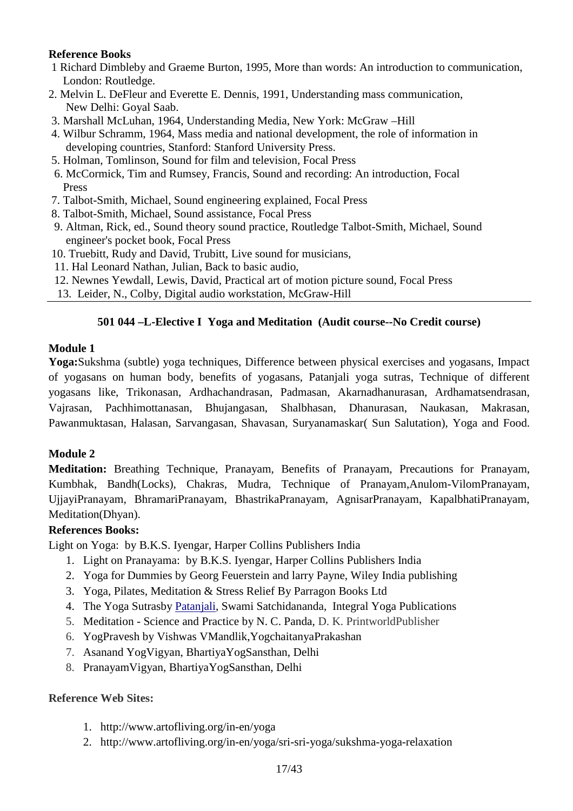# **Reference Books**

- 1 Richard Dimbleby and Graeme Burton, 1995, More than words: An introduction to communication, London: Routledge.
- 2. Melvin L. DeFleur and Everette E. Dennis, 1991, Understanding mass communication, New Delhi: Goyal Saab.
- 3. Marshall McLuhan, 1964, Understanding Media, New York: McGraw –Hill
- 4. Wilbur Schramm, 1964, Mass media and national development, the role of information in developing countries, Stanford: Stanford University Press.
- 5. Holman, Tomlinson, Sound for film and television, Focal Press
- 6. McCormick, Tim and Rumsey, Francis, Sound and recording: An introduction, Focal Press
- 7. Talbot-Smith, Michael, Sound engineering explained*,* Focal Press
- 8. Talbot-Smith, Michael, Sound assistance*,* Focal Press
- 9. Altman, Rick, ed., Sound theory sound practice*,* Routledge Talbot-Smith, Michael, Sound engineer's pocket book, Focal Press
- 10. Truebitt, Rudy and David, Trubitt, Live sound for musicians,
- 11. Hal Leonard Nathan, Julian, Back to basic audio,
- 12. Newnes Yewdall, Lewis, David, Practical art of motion picture sound, Focal Press
- 13. Leider, N., Colby, Digital audio workstation, McGraw-Hill

# **501 044 –L-Elective I Yoga and Meditation (Audit course--No Credit course)**

### **Module 1**

**Yoga:**Sukshma (subtle) yoga techniques, Difference between physical exercises and yogasans, Impact of yogasans on human body, benefits of yogasans, Patanjali yoga sutras, Technique of different yogasans like, Trikonasan, Ardhachandrasan, Padmasan, Akarnadhanurasan, Ardhamatsendrasan, Vajrasan, Pachhimottanasan, Bhujangasan, Shalbhasan, Dhanurasan, Naukasan, Makrasan, Pawanmuktasan, Halasan, Sarvangasan, Shavasan, Suryanamaskar( Sun Salutation), Yoga and Food.

# **Module 2**

**Meditation:** Breathing Technique, Pranayam, Benefits of Pranayam, Precautions for Pranayam, Kumbhak, Bandh(Locks), Chakras, Mudra, Technique of Pranayam,Anulom-VilomPranayam, UjjayiPranayam, BhramariPranayam, BhastrikaPranayam, AgnisarPranayam, KapalbhatiPranayam, Meditation(Dhyan).

# **References Books:**

Light on Yoga: by B.K.S. Iyengar, Harper Collins Publishers India

- 1. Light on Pranayama: by B.K.S. Iyengar, Harper Collins Publishers India
- 2. Yoga for Dummies by Georg Feuerstein and larry Payne, Wiley India publishing
- 3. Yoga, Pilates, Meditation & Stress Relief By Parragon Books Ltd
- 4. The Yoga Sutrasby Patanjali, Swami Satchidananda, Integral Yoga Publications
- 5. Meditation Science and Practice by N. C. Panda, D. K. PrintworldPublisher
- 6. YogPravesh by Vishwas VMandlik,YogchaitanyaPrakashan
- 7. Asanand YogVigyan, BhartiyaYogSansthan, Delhi
- 8. PranayamVigyan, BhartiyaYogSansthan, Delhi

# **Reference Web Sites:**

- 1. http://www.artofliving.org/in-en/yoga
- 2. http://www.artofliving.org/in-en/yoga/sri-sri-yoga/sukshma-yoga-relaxation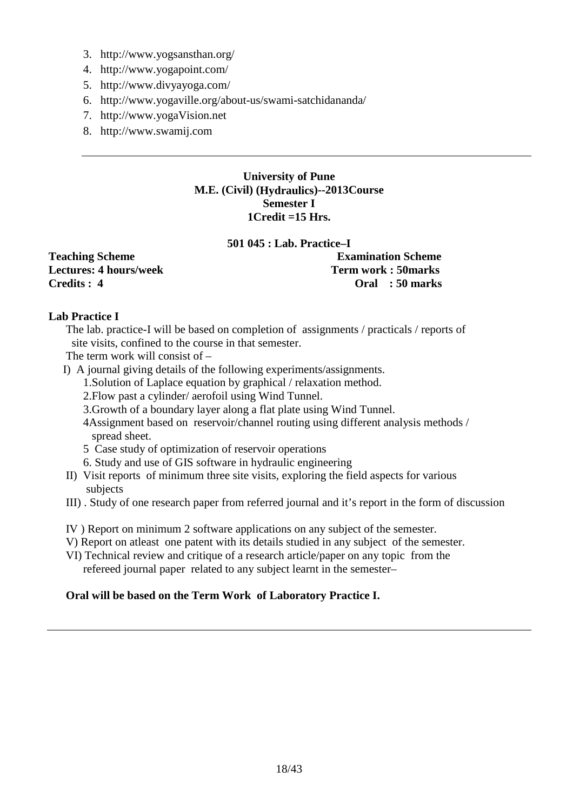- 3. http://www.yogsansthan.org/
- 4. http://www.yogapoint.com/
- 5. http://www.divyayoga.com/
- 6. http://www.yogaville.org/about-us/swami-satchidananda/
- 7. http://www.yogaVision.net
- 8. http://www.swamij.com

#### **University of Pune M.E. (Civil) (Hydraulics)--2013Course Semester I 1Credit =15 Hrs.**

#### **501 045 : Lab. Practice–I**

Lectures: 4 hours/week

Teaching Scheme **Examination Scheme**<br>
Lectures: 4 hours/week **Examination Scheme**<br>
Term work: 50marks **Credits : 4 Oral : 50 marks** 

# **Lab Practice I**

The lab. practice-I will be based on completion of assignments / practicals / reports of site visits, confined to the course in that semester.

- The term work will consist of –
- I) A journal giving details of the following experiments/assignments.
	- 1.Solution of Laplace equation by graphical / relaxation method.
		- 2.Flow past a cylinder/ aerofoil using Wind Tunnel.
		- 3.Growth of a boundary layer along a flat plate using Wind Tunnel.
		- 4Assignment based on reservoir/channel routing using different analysis methods / spread sheet.
		- 5 Case study of optimization of reservoir operations
		- 6. Study and use of GIS software in hydraulic engineering
- II) Visit reports of minimum three site visits, exploring the field aspects for various subjects
- III) . Study of one research paper from referred journal and it's report in the form of discussion
- IV ) Report on minimum 2 software applications on any subject of the semester.
- V) Report on atleast one patent with its details studied in any subject of the semester.
- VI) Technical review and critique of a research article/paper on any topic from the refereed journal paper related to any subject learnt in the semester–

# **Oral will be based on the Term Work of Laboratory Practice I.**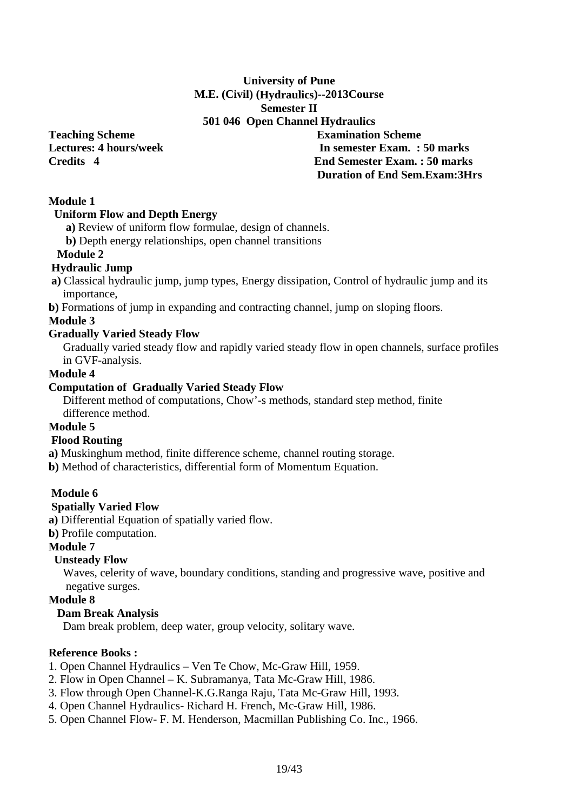# **University of Pune M.E. (Civil) (Hydraulics)--2013Course Semester II 501 046 Open Channel Hydraulics**

**Teaching Scheme Examination Scheme Lectures: 4 hours/week In semester Exam. : 50 marks Credits 4 End Semester Exam. : 50 marks Duration of End Sem.Exam:3Hrs** 

# **Module 1**

#### **Uniform Flow and Depth Energy**

 **a)** Review of uniform flow formulae, design of channels.

 **b)** Depth energy relationships, open channel transitions

#### **Module 2**

### **Hydraulic Jump**

 **a)** Classical hydraulic jump, jump types, Energy dissipation, Control of hydraulic jump and its importance,

**b)** Formations of jump in expanding and contracting channel, jump on sloping floors.

#### **Module 3**

#### **Gradually Varied Steady Flow**

Gradually varied steady flow and rapidly varied steady flow in open channels, surface profiles in GVF-analysis.

# **Module 4**

### **Computation of Gradually Varied Steady Flow**

Different method of computations, Chow'-s methods, standard step method, finite difference method.

# **Module 5**

#### **Flood Routing**

**a)** Muskinghum method, finite difference scheme, channel routing storage.

**b)** Method of characteristics, differential form of Momentum Equation.

# **Module 6**

#### **Spatially Varied Flow**

**a)** Differential Equation of spatially varied flow.

**b)** Profile computation.

# **Module 7**

#### **Unsteady Flow**

Waves, celerity of wave, boundary conditions, standing and progressive wave, positive and negative surges.

#### **Module 8**

# **Dam Break Analysis**

Dam break problem, deep water, group velocity, solitary wave.

### **Reference Books :**

- 1. Open Channel Hydraulics Ven Te Chow, Mc-Graw Hill, 1959.
- 2. Flow in Open Channel K. Subramanya, Tata Mc-Graw Hill, 1986.
- 3. Flow through Open Channel-K.G.Ranga Raju, Tata Mc-Graw Hill, 1993.
- 4. Open Channel Hydraulics- Richard H. French, Mc-Graw Hill, 1986.
- 5. Open Channel Flow- F. M. Henderson, Macmillan Publishing Co. Inc., 1966.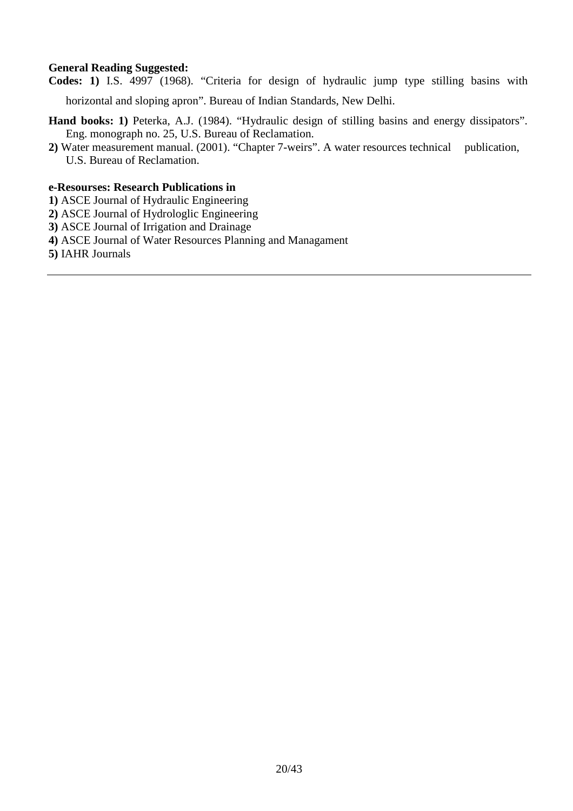# **General Reading Suggested:**

**Codes: 1)** I.S. 4997 (1968). "Criteria for design of hydraulic jump type stilling basins with

horizontal and sloping apron". Bureau of Indian Standards, New Delhi.

- Hand books: 1) Peterka, A.J. (1984). "Hydraulic design of stilling basins and energy dissipators". Eng. monograph no. 25, U.S. Bureau of Reclamation.
- **2)** Water measurement manual. (2001). "Chapter 7-weirs". A water resources technical publication, U.S. Bureau of Reclamation.

#### **e-Resourses: Research Publications in**

- **1)** ASCE Journal of Hydraulic Engineering
- **2)** ASCE Journal of Hydrologlic Engineering
- **3)** ASCE Journal of Irrigation and Drainage
- **4)** ASCE Journal of Water Resources Planning and Managament
- **5)** IAHR Journals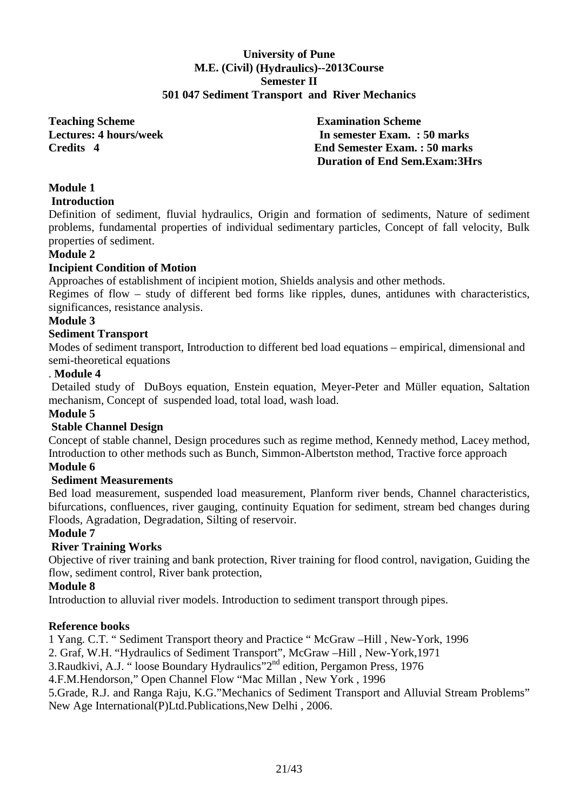#### **University of Pune M.E. (Civil) (Hydraulics)--2013Course Semester II 501 047 Sediment Transport and River Mechanics**

**Teaching Scheme Examination Scheme** 

**Lectures: 4 hours/week In semester Exam. : 50 marks Credits 4 End Semester Exam. : 50 marks Duration of End Sem.Exam:3Hrs** 

# **Module 1**

# **Introduction**

Definition of sediment, fluvial hydraulics, Origin and formation of sediments, Nature of sediment problems, fundamental properties of individual sedimentary particles, Concept of fall velocity, Bulk properties of sediment.

# **Module 2**

### **Incipient Condition of Motion**

Approaches of establishment of incipient motion, Shields analysis and other methods.

Regimes of flow – study of different bed forms like ripples, dunes, antidunes with characteristics, significances, resistance analysis.

#### **Module 3**

### **Sediment Transport**

Modes of sediment transport, Introduction to different bed load equations – empirical, dimensional and semi-theoretical equations

# . **Module 4**

 Detailed study of DuBoys equation, Enstein equation, Meyer-Peter and Müller equation, Saltation mechanism, Concept of suspended load, total load, wash load.

#### **Module 5**

# **Stable Channel Design**

Concept of stable channel, Design procedures such as regime method, Kennedy method, Lacey method, Introduction to other methods such as Bunch, Simmon-Albertston method, Tractive force approach

# **Module 6**

# **Sediment Measurements**

Bed load measurement, suspended load measurement, Planform river bends, Channel characteristics, bifurcations, confluences, river gauging, continuity Equation for sediment, stream bed changes during Floods, Agradation, Degradation, Silting of reservoir.

# **Module 7**

# **River Training Works**

Objective of river training and bank protection, River training for flood control, navigation, Guiding the flow, sediment control, River bank protection,

#### **Module 8**

Introduction to alluvial river models. Introduction to sediment transport through pipes.

#### **Reference books**

1 Yang. C.T. " Sediment Transport theory and Practice " McGraw –Hill , New-York, 1996

2. Graf, W.H. "Hydraulics of Sediment Transport", McGraw –Hill , New-York,1971

3.Raudkivi, A.J. " loose Boundary Hydraulics"2nd edition, Pergamon Press, 1976

4.F.M.Hendorson," Open Channel Flow "Mac Millan , New York , 1996

5.Grade, R.J. and Ranga Raju, K.G."Mechanics of Sediment Transport and Alluvial Stream Problems" New Age International(P)Ltd.Publications,New Delhi , 2006.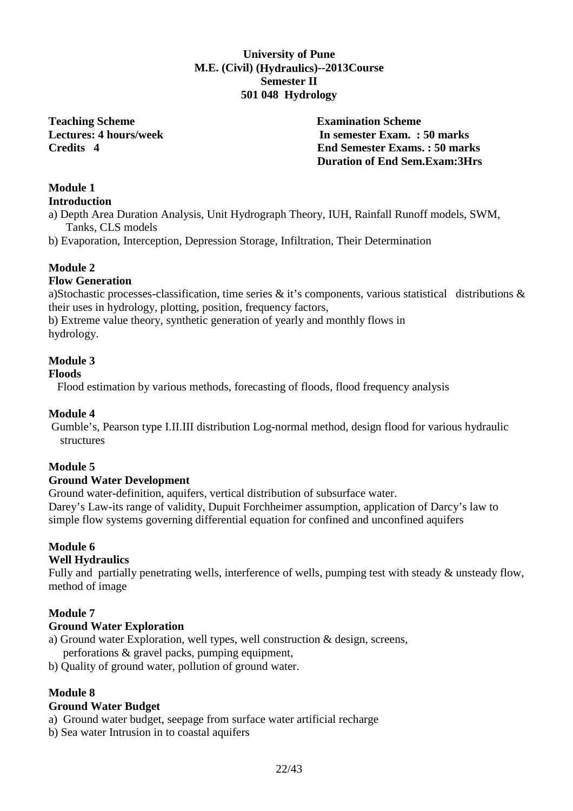# **University of Pune M.E. (Civil) (Hydraulics)--2013Course Semester II 501 048 Hydrology**

**Teaching Scheme Examination Scheme** 

**Lectures: 4 hours/week In semester Exam. : 50 marks Credits 4 End Semester Exams. : 50 marks Duration of End Sem.Exam:3Hrs** 

# **Module 1**

# **Introduction**

a) Depth Area Duration Analysis, Unit Hydrograph Theory, IUH, Rainfall Runoff models, SWM, Tanks, CLS models

b) Evaporation, Interception, Depression Storage, Infiltration, Their Determination

# **Module 2**

# **Flow Generation**

a)Stochastic processes-classification, time series & it's components, various statistical distributions & their uses in hydrology, plotting, position, frequency factors,

b) Extreme value theory, synthetic generation of yearly and monthly flows in hydrology.

# **Module 3**

#### **Floods**

Flood estimation by various methods, forecasting of floods, flood frequency analysis

#### **Module 4**

 Gumble's, Pearson type I.II.III distribution Log-normal method, design flood for various hydraulic structures

# **Module 5**

#### **Ground Water Development**

Ground water-definition, aquifers, vertical distribution of subsurface water. Darey's Law-its range of validity, Dupuit Forchheimer assumption, application of Darcy's law to simple flow systems governing differential equation for confined and unconfined aquifers

# **Module 6**

#### **Well Hydraulics**

Fully and partially penetrating wells, interference of wells, pumping test with steady & unsteady flow, method of image

#### **Module 7**

#### **Ground Water Exploration**

- a) Ground water Exploration, well types, well construction & design, screens, perforations & gravel packs, pumping equipment,
- b) Quality of ground water, pollution of ground water.

# **Module 8**

#### **Ground Water Budget**

- a) Ground water budget, seepage from surface water artificial recharge
- b) Sea water Intrusion in to coastal aquifers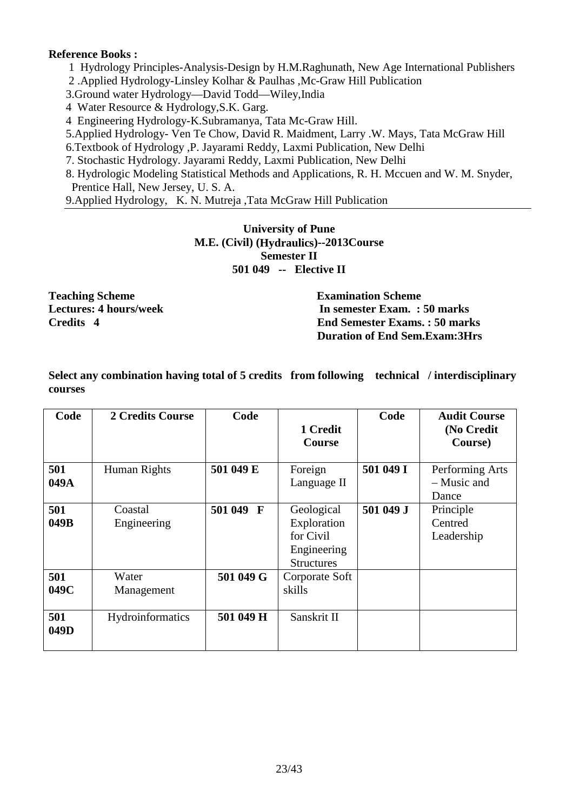#### **Reference Books :**

1 Hydrology Principles-Analysis-Design by H.M.Raghunath, New Age International Publishers

2 .Applied Hydrology-Linsley Kolhar & Paulhas ,Mc-Graw Hill Publication

3.Ground water Hydrology—David Todd—Wiley,India

4 Water Resource & Hydrology,S.K. Garg.

4 Engineering Hydrology-K.Subramanya, Tata Mc-Graw Hill.

5.Applied Hydrology- Ven Te Chow, David R. Maidment, Larry .W. Mays, Tata McGraw Hill

6.Textbook of Hydrology ,P. Jayarami Reddy, Laxmi Publication, New Delhi

7. Stochastic Hydrology. Jayarami Reddy, Laxmi Publication, New Delhi

8. Hydrologic Modeling Statistical Methods and Applications, R. H. Mccuen and W. M. Snyder, Prentice Hall, New Jersey, U. S. A.

9.Applied Hydrology, K. N. Mutreja ,Tata McGraw Hill Publication

# **University of Pune M.E. (Civil) (Hydraulics)--2013Course Semester II 501 049 -- Elective II**

**Teaching Scheme Examination Scheme** 

**Lectures: 4 hours/week 1.1 and 1.1 and 1.1 and 1.1 and 1.1 and 1.1 and 1.1 and 1.1 and 1.1 and 1.1 and 1.1 and 1.1 and 1.1 and 1.1 and 1.1 and 1.1 and 1.1 and 1.1 and 1.1 and 1.1 and 1.1 and 1.1 and 1.1 and 1.1 and 1.1 an Credits 4 End Semester Exams. : 50 marks Duration of End Sem.Exam:3Hrs** 

**Select any combination having total of 5 credits from following technical / interdisciplinary courses** 

| Code        | <b>2 Credits Course</b> | Code      | 1 Credit<br><b>Course</b>                                                  | Code      | <b>Audit Course</b><br>(No Credit<br>Course) |
|-------------|-------------------------|-----------|----------------------------------------------------------------------------|-----------|----------------------------------------------|
| 501<br>049A | Human Rights            | 501 049 E | Foreign<br>Language II                                                     | 501 049 I | Performing Arts<br>- Music and<br>Dance      |
| 501<br>049B | Coastal<br>Engineering  | 501 049 F | Geological<br>Exploration<br>for Civil<br>Engineering<br><b>Structures</b> | 501 049 J | Principle<br>Centred<br>Leadership           |
| 501<br>049C | Water<br>Management     | 501 049 G | Corporate Soft<br>skills                                                   |           |                                              |
| 501<br>049D | Hydroinformatics        | 501 049 H | Sanskrit II                                                                |           |                                              |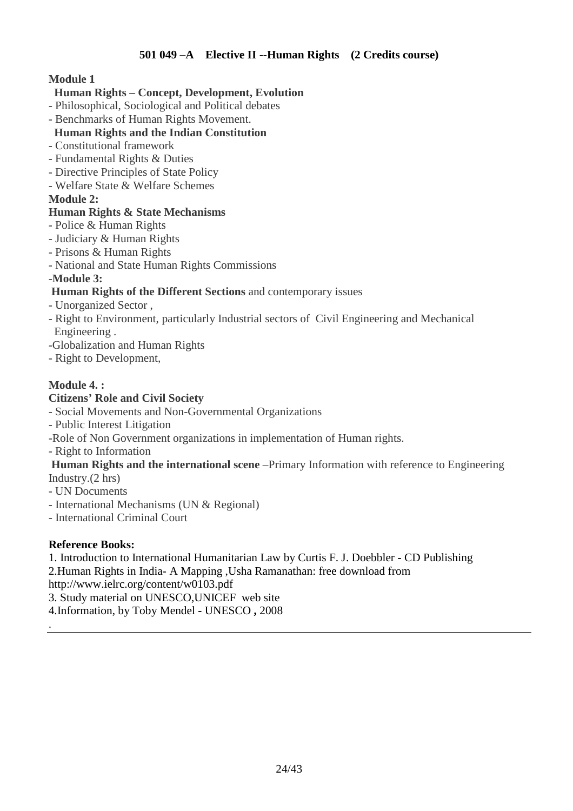# **Human Rights – Concept, Development, Evolution**

- Philosophical, Sociological and Political debates
- Benchmarks of Human Rights Movement.

# **Human Rights and the Indian Constitution**

- Constitutional framework
- Fundamental Rights & Duties
- Directive Principles of State Policy
- Welfare State & Welfare Schemes

# **Module 2:**

# **Human Rights & State Mechanisms**

- Police & Human Rights
- Judiciary & Human Rights
- Prisons & Human Rights
- National and State Human Rights Commissions

-**Module 3:** 

# **Human Rights of the Different Sections** and contemporary issues

- Unorganized Sector ,
- Right to Environment, particularly Industrial sectors of Civil Engineering and Mechanical Engineering .
- -Globalization and Human Rights
- Right to Development,

# **Module 4. :**

# **Citizens' Role and Civil Society**

- Social Movements and Non-Governmental Organizations
- Public Interest Litigation
- -Role of Non Government organizations in implementation of Human rights.
- Right to Information

 **Human Rights and the international scene** –Primary Information with reference to Engineering Industry.(2 hrs)

- UN Documents
- International Mechanisms (UN & Regional)
- International Criminal Court

# **Reference Books:**

.

1. Introduction to International Humanitarian Law by Curtis F. J. Doebbler **-** CD Publishing 2.Human Rights in India- A Mapping ,Usha Ramanathan: free download from

http://www.ielrc.org/content/w0103.pdf

3. Study material on UNESCO,UNICEF web site

4.Information, by Toby Mendel **-** UNESCO **,** 2008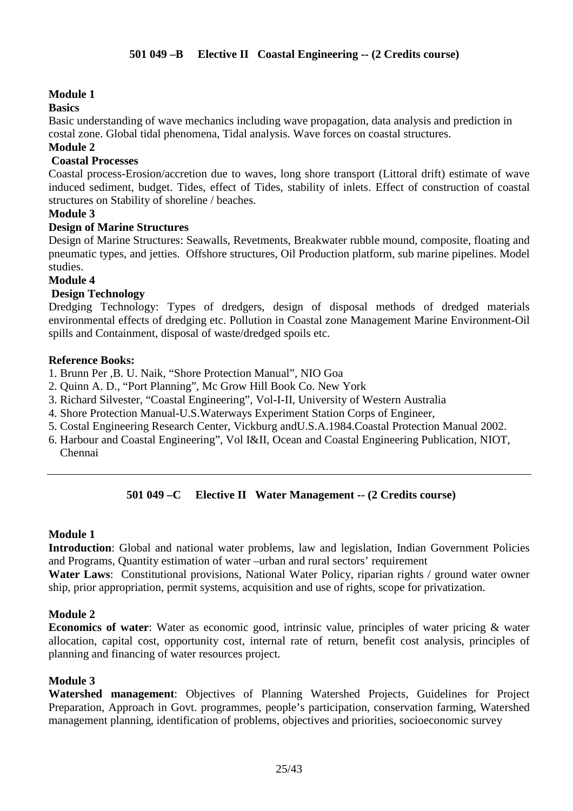# **Basics**

Basic understanding of wave mechanics including wave propagation, data analysis and prediction in costal zone. Global tidal phenomena, Tidal analysis. Wave forces on coastal structures.

# **Module 2**

# **Coastal Processes**

Coastal process-Erosion/accretion due to waves, long shore transport (Littoral drift) estimate of wave induced sediment, budget. Tides, effect of Tides, stability of inlets. Effect of construction of coastal structures on Stability of shoreline / beaches.

### **Module 3**

### **Design of Marine Structures**

Design of Marine Structures: Seawalls, Revetments, Breakwater rubble mound, composite, floating and pneumatic types, and jetties. Offshore structures, Oil Production platform, sub marine pipelines. Model studies.

#### **Module 4**

# **Design Technology**

Dredging Technology: Types of dredgers, design of disposal methods of dredged materials environmental effects of dredging etc. Pollution in Coastal zone Management Marine Environment-Oil spills and Containment, disposal of waste/dredged spoils etc.

### **Reference Books:**

- 1. Brunn Per ,B. U. Naik, "Shore Protection Manual", NIO Goa
- 2. Quinn A. D., "Port Planning", Mc Grow Hill Book Co. New York
- 3. Richard Silvester, "Coastal Engineering", Vol-I-II, University of Western Australia
- 4. Shore Protection Manual-U.S.Waterways Experiment Station Corps of Engineer,
- 5. Costal Engineering Research Center, Vickburg andU.S.A.1984.Coastal Protection Manual 2002.
- 6. Harbour and Coastal Engineering", Vol I&II, Ocean and Coastal Engineering Publication, NIOT, Chennai

# **501 049 –C Elective II Water Management -- (2 Credits course)**

#### **Module 1**

**Introduction**: Global and national water problems, law and legislation, Indian Government Policies and Programs, Quantity estimation of water –urban and rural sectors' requirement

**Water Laws**: Constitutional provisions, National Water Policy, riparian rights / ground water owner ship, prior appropriation, permit systems, acquisition and use of rights, scope for privatization.

#### **Module 2**

**Economics of water**: Water as economic good, intrinsic value, principles of water pricing & water allocation, capital cost, opportunity cost, internal rate of return, benefit cost analysis, principles of planning and financing of water resources project.

#### **Module 3**

**Watershed management**: Objectives of Planning Watershed Projects, Guidelines for Project Preparation, Approach in Govt. programmes, people's participation, conservation farming, Watershed management planning, identification of problems, objectives and priorities, socioeconomic survey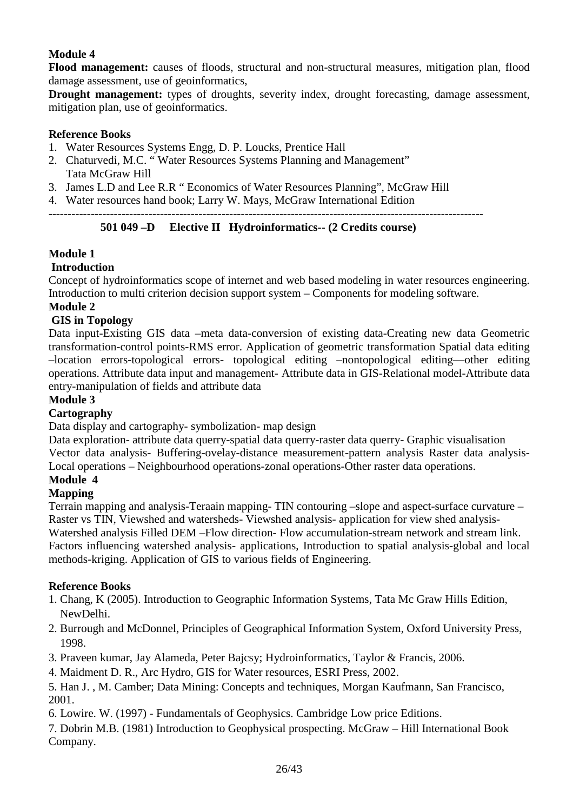**Flood management:** causes of floods, structural and non-structural measures, mitigation plan, flood damage assessment, use of geoinformatics,

**Drought management:** types of droughts, severity index, drought forecasting, damage assessment, mitigation plan, use of geoinformatics.

# **Reference Books**

- 1. Water Resources Systems Engg, D. P. Loucks, Prentice Hall
- 2. Chaturvedi, M.C. " Water Resources Systems Planning and Management" Tata McGraw Hill
- 3. James L.D and Lee R.R " Economics of Water Resources Planning", McGraw Hill
- 4. Water resources hand book; Larry W. Mays, McGraw International Edition

#### -----------------------------------------------------------------------------------------------------------------  **501 049 –D Elective II Hydroinformatics-- (2 Credits course)**

# **Module 1**

# **Introduction**

Concept of hydroinformatics scope of internet and web based modeling in water resources engineering. Introduction to multi criterion decision support system – Components for modeling software. **Module 2** 

# **GIS in Topology**

Data input-Existing GIS data –meta data-conversion of existing data-Creating new data Geometric transformation-control points-RMS error. Application of geometric transformation Spatial data editing –location errors-topological errors- topological editing –nontopological editing—other editing operations. Attribute data input and management- Attribute data in GIS-Relational model-Attribute data entry-manipulation of fields and attribute data

### **Module 3**

# **Cartography**

Data display and cartography- symbolization- map design

Data exploration- attribute data querry-spatial data querry-raster data querry- Graphic visualisation Vector data analysis- Buffering-ovelay-distance measurement-pattern analysis Raster data analysis-Local operations – Neighbourhood operations-zonal operations-Other raster data operations.

# **Module 4**

### **Mapping**

Terrain mapping and analysis-Teraain mapping- TIN contouring –slope and aspect-surface curvature – Raster vs TIN, Viewshed and watersheds- Viewshed analysis- application for view shed analysis-Watershed analysis Filled DEM –Flow direction- Flow accumulation-stream network and stream link. Factors influencing watershed analysis- applications, Introduction to spatial analysis-global and local methods-kriging. Application of GIS to various fields of Engineering.

# **Reference Books**

- 1. Chang, K (2005). Introduction to Geographic Information Systems, Tata Mc Graw Hills Edition, NewDelhi.
- 2. Burrough and McDonnel, Principles of Geographical Information System, Oxford University Press, 1998.
- 3. Praveen kumar, Jay Alameda, Peter Bajcsy; Hydroinformatics, Taylor & Francis, 2006.
- 4. Maidment D. R., Arc Hydro, GIS for Water resources, ESRI Press, 2002.

5. Han J. , M. Camber; Data Mining: Concepts and techniques, Morgan Kaufmann, San Francisco, 2001.

6. Lowire. W. (1997) - Fundamentals of Geophysics. Cambridge Low price Editions.

7. Dobrin M.B. (1981) Introduction to Geophysical prospecting. McGraw – Hill International Book Company.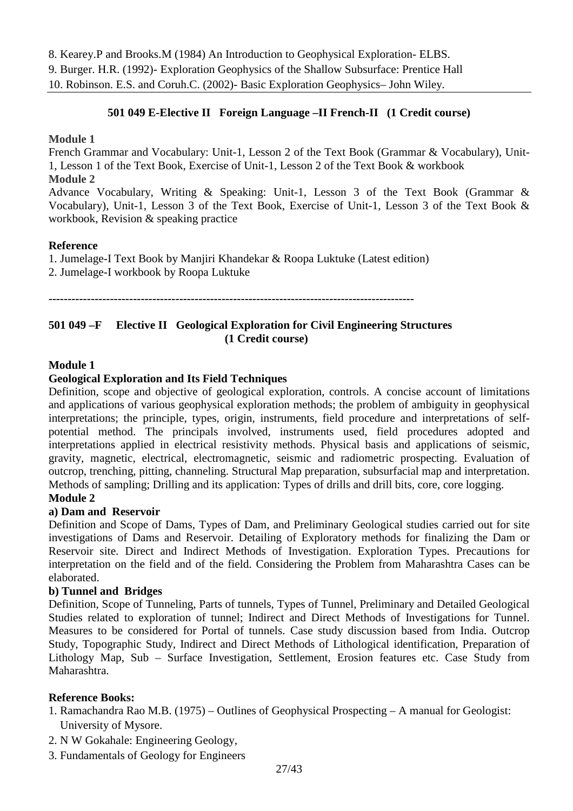8. Kearey.P and Brooks.M (1984) An Introduction to Geophysical Exploration- ELBS. 9. Burger. H.R. (1992)- Exploration Geophysics of the Shallow Subsurface: Prentice Hall 10. Robinson. E.S. and Coruh.C. (2002)- Basic Exploration Geophysics– John Wiley.

# **501 049 E-Elective II Foreign Language –II French-II (1 Credit course)**

#### **Module 1**

French Grammar and Vocabulary: Unit-1, Lesson 2 of the Text Book (Grammar & Vocabulary), Unit-1, Lesson 1 of the Text Book, Exercise of Unit-1, Lesson 2 of the Text Book & workbook

### **Module 2**

Advance Vocabulary, Writing & Speaking: Unit-1, Lesson 3 of the Text Book (Grammar & Vocabulary), Unit-1, Lesson 3 of the Text Book, Exercise of Unit-1, Lesson 3 of the Text Book & workbook, Revision & speaking practice

# **Reference**

1. Jumelage-I Text Book by Manjiri Khandekar & Roopa Luktuke (Latest edition) 2. Jumelage-I workbook by Roopa Luktuke

**-----------------------------------------------------------------------------------------------** 

# **501 049 –F Elective II Geological Exploration for Civil Engineering Structures (1 Credit course)**

### **Module 1**

# **Geological Exploration and Its Field Techniques**

Definition, scope and objective of geological exploration, controls. A concise account of limitations and applications of various geophysical exploration methods; the problem of ambiguity in geophysical interpretations; the principle, types, origin, instruments, field procedure and interpretations of selfpotential method. The principals involved, instruments used, field procedures adopted and interpretations applied in electrical resistivity methods. Physical basis and applications of seismic, gravity, magnetic, electrical, electromagnetic, seismic and radiometric prospecting. Evaluation of outcrop, trenching, pitting, channeling. Structural Map preparation, subsurfacial map and interpretation. Methods of sampling; Drilling and its application: Types of drills and drill bits, core, core logging.

#### **Module 2**

# **a) Dam and Reservoir**

Definition and Scope of Dams, Types of Dam, and Preliminary Geological studies carried out for site investigations of Dams and Reservoir. Detailing of Exploratory methods for finalizing the Dam or Reservoir site. Direct and Indirect Methods of Investigation. Exploration Types. Precautions for interpretation on the field and of the field. Considering the Problem from Maharashtra Cases can be elaborated.

#### **b) Tunnel and Bridges**

Definition, Scope of Tunneling, Parts of tunnels, Types of Tunnel, Preliminary and Detailed Geological Studies related to exploration of tunnel; Indirect and Direct Methods of Investigations for Tunnel. Measures to be considered for Portal of tunnels. Case study discussion based from India. Outcrop Study, Topographic Study, Indirect and Direct Methods of Lithological identification, Preparation of Lithology Map, Sub – Surface Investigation, Settlement, Erosion features etc. Case Study from Maharashtra.

#### **Reference Books:**

- 1. Ramachandra Rao M.B. (1975) Outlines of Geophysical Prospecting A manual for Geologist: University of Mysore.
- 2. N W Gokahale: Engineering Geology,
- 3. Fundamentals of Geology for Engineers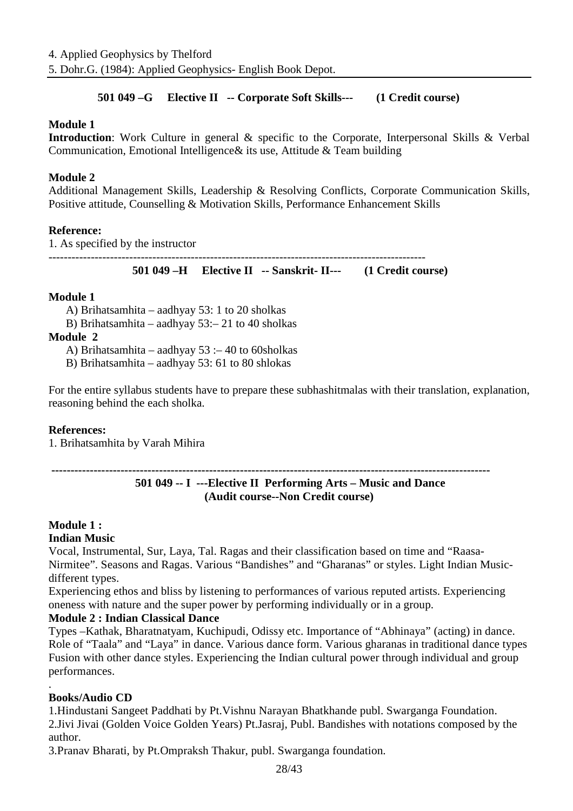# **501 049 –G Elective II -- Corporate Soft Skills--- (1 Credit course)**

# **Module 1**

**Introduction**: Work Culture in general & specific to the Corporate, Interpersonal Skills & Verbal Communication, Emotional Intelligence& its use, Attitude & Team building

# **Module 2**

Additional Management Skills, Leadership & Resolving Conflicts, Corporate Communication Skills, Positive attitude, Counselling & Motivation Skills, Performance Enhancement Skills

### **Reference:**

1. As specified by the instructor

-------------------------------------------------------------------------------------------------- **501 049 –H Elective II -- Sanskrit- II--- (1 Credit course)**

#### **Module 1**

A) Brihatsamhita – aadhyay 53: 1 to 20 sholkas

B) Brihatsamhita – aadhyay 53:– 21 to 40 sholkas

#### **Module 2**

A) Brihatsamhita – aadhyay 53 :– 40 to 60sholkas

B) Brihatsamhita – aadhyay 53: 61 to 80 shlokas

For the entire syllabus students have to prepare these subhashitmalas with their translation, explanation, reasoning behind the each sholka.

#### **References:**

1. Brihatsamhita by Varah Mihira

#### **------------------------------------------------------------------------------------------------------------------**

# **501 049 -- I ---Elective II Performing Arts – Music and Dance (Audit course--Non Credit course)**

# **Module 1 :**

# **Indian Music**

Vocal, Instrumental, Sur, Laya, Tal. Ragas and their classification based on time and "Raasa-Nirmitee". Seasons and Ragas. Various "Bandishes" and "Gharanas" or styles. Light Indian Musicdifferent types.

Experiencing ethos and bliss by listening to performances of various reputed artists. Experiencing oneness with nature and the super power by performing individually or in a group.

# **Module 2 : Indian Classical Dance**

Types –Kathak, Bharatnatyam, Kuchipudi, Odissy etc. Importance of "Abhinaya" (acting) in dance. Role of "Taala" and "Laya" in dance. Various dance form. Various gharanas in traditional dance types Fusion with other dance styles. Experiencing the Indian cultural power through individual and group performances.

# **Books/Audio CD**

.

1.Hindustani Sangeet Paddhati by Pt.Vishnu Narayan Bhatkhande publ. Swarganga Foundation. 2.Jivi Jivai (Golden Voice Golden Years) Pt.Jasraj, Publ. Bandishes with notations composed by the author.

3.Pranav Bharati, by Pt.Ompraksh Thakur, publ. Swarganga foundation.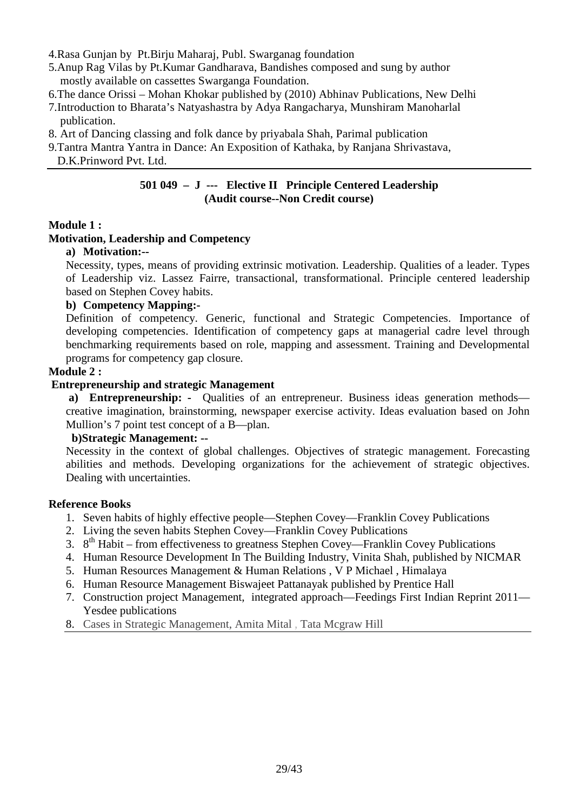- 4.Rasa Gunjan by Pt.Birju Maharaj, Publ. Swarganag foundation
- 5.Anup Rag Vilas by Pt.Kumar Gandharava, Bandishes composed and sung by author mostly available on cassettes Swarganga Foundation.
- 6.The dance Orissi Mohan Khokar published by (2010) Abhinav Publications, New Delhi
- 7.Introduction to Bharata's Natyashastra by Adya Rangacharya, Munshiram Manoharlal publication.
- 8. Art of Dancing classing and folk dance by priyabala Shah, Parimal publication
- 9.Tantra Mantra Yantra in Dance: An Exposition of Kathaka, by Ranjana Shrivastava,
- D.K.Prinword Pvt. Ltd.

#### **501 049 – J --- Elective II Principle Centered Leadership (Audit course--Non Credit course)**

### **Module 1 :**

### **Motivation, Leadership and Competency**

### **a) Motivation:--**

Necessity, types, means of providing extrinsic motivation. Leadership. Qualities of a leader. Types of Leadership viz. Lassez Fairre, transactional, transformational. Principle centered leadership based on Stephen Covey habits.

### **b) Competency Mapping:-**

Definition of competency. Generic, functional and Strategic Competencies. Importance of developing competencies. Identification of competency gaps at managerial cadre level through benchmarking requirements based on role, mapping and assessment. Training and Developmental programs for competency gap closure.

### **Module 2 :**

# **Entrepreneurship and strategic Management**

a) Entrepreneurship: - Qualities of an entrepreneur. Business ideas generation methods creative imagination, brainstorming, newspaper exercise activity. Ideas evaluation based on John Mullion's 7 point test concept of a B—plan.

#### **b)Strategic Management: --**

Necessity in the context of global challenges. Objectives of strategic management. Forecasting abilities and methods. Developing organizations for the achievement of strategic objectives. Dealing with uncertainties.

#### **Reference Books**

- 1. Seven habits of highly effective people—Stephen Covey—Franklin Covey Publications
- 2. Living the seven habits Stephen Covey—Franklin Covey Publications
- 3. 8<sup>th</sup> Habit from effectiveness to greatness Stephen Covey—Franklin Covey Publications
- 4. Human Resource Development In The Building Industry, Vinita Shah, published by NICMAR
- 5. Human Resources Management & Human Relations , V P Michael , Himalaya
- 6. Human Resource Management Biswajeet Pattanayak published by Prentice Hall
- 7. Construction project Management, integrated approach—Feedings First Indian Reprint 2011— Yesdee publications
- 8. Cases in Strategic Management, Amita Mital , Tata Mcgraw Hill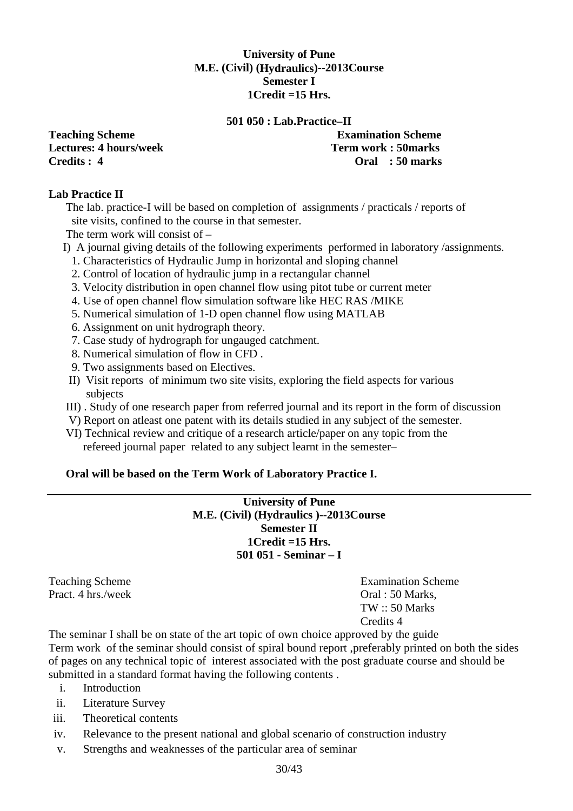# **University of Pune M.E. (Civil) (Hydraulics)--2013Course Semester I 1Credit =15 Hrs.**

#### **501 050 : Lab.Practice–II**

**Lectures: 4 hours/week Term work : 50marks Credits : 4 Oral : 50 marks** 

**Teaching Scheme Examination Scheme** 

#### **Lab Practice II**

The lab. practice-I will be based on completion of assignments / practicals / reports of site visits, confined to the course in that semester.

The term work will consist of –

- I) A journal giving details of the following experiments performed in laboratory /assignments.
	- 1. Characteristics of Hydraulic Jump in horizontal and sloping channel
	- 2. Control of location of hydraulic jump in a rectangular channel
	- 3. Velocity distribution in open channel flow using pitot tube or current meter
	- 4. Use of open channel flow simulation software like HEC RAS /MIKE
	- 5. Numerical simulation of 1-D open channel flow using MATLAB
	- 6. Assignment on unit hydrograph theory.
	- 7. Case study of hydrograph for ungauged catchment.
	- 8. Numerical simulation of flow in CFD .
	- 9. Two assignments based on Electives.
- II) Visit reports of minimum two site visits, exploring the field aspects for various subjects
- III) . Study of one research paper from referred journal and its report in the form of discussion
- V) Report on atleast one patent with its details studied in any subject of the semester.
- VI) Technical review and critique of a research article/paper on any topic from the refereed journal paper related to any subject learnt in the semester–

# **Oral will be based on the Term Work of Laboratory Practice I.**

**University of Pune M.E. (Civil) (Hydraulics )--2013Course Semester II 1Credit =15 Hrs. 501 051 - Seminar – I** 

Pract. 4 hrs./week Oral : 50 Marks,

Teaching Scheme **Examination** Scheme **Examination** Scheme TW :: 50 Marks Credits 4

The seminar I shall be on state of the art topic of own choice approved by the guide Term work of the seminar should consist of spiral bound report ,preferably printed on both the sides of pages on any technical topic of interest associated with the post graduate course and should be submitted in a standard format having the following contents .

- i. Introduction
- ii. Literature Survey
- iii. Theoretical contents
- iv. Relevance to the present national and global scenario of construction industry
- v. Strengths and weaknesses of the particular area of seminar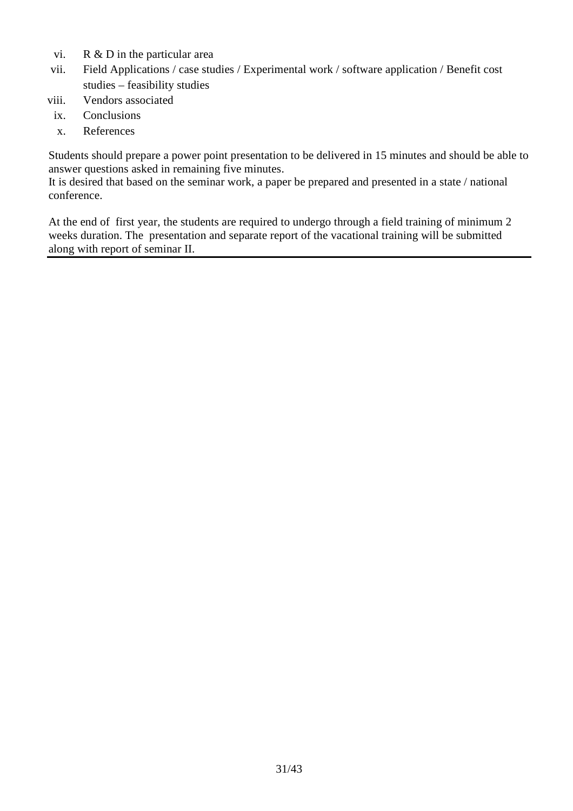- vi. R & D in the particular area
- vii. Field Applications / case studies / Experimental work / software application / Benefit cost studies – feasibility studies
- viii. Vendors associated
	- ix. Conclusions
	- x. References

Students should prepare a power point presentation to be delivered in 15 minutes and should be able to answer questions asked in remaining five minutes.

It is desired that based on the seminar work, a paper be prepared and presented in a state / national conference.

At the end of first year, the students are required to undergo through a field training of minimum 2 weeks duration. The presentation and separate report of the vacational training will be submitted along with report of seminar II.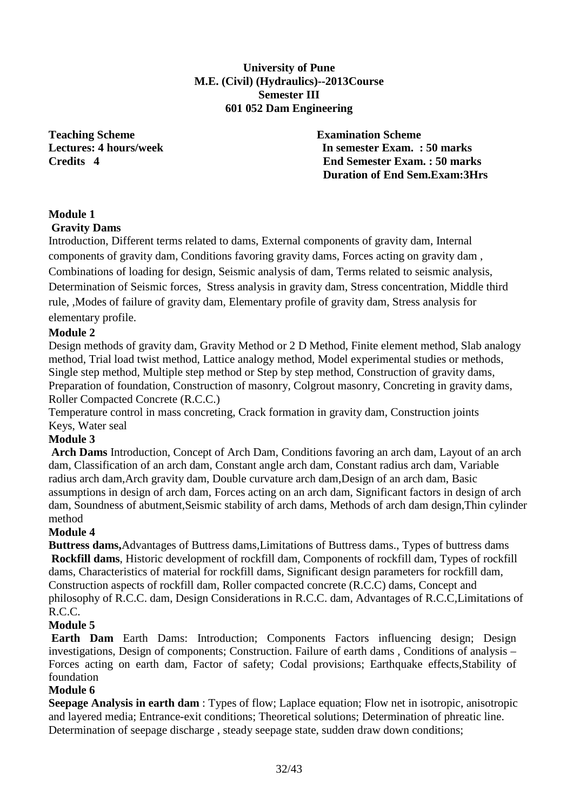**University of Pune M.E. (Civil) (Hydraulics)--2013Course Semester III 601 052 Dam Engineering** 

**Teaching Scheme Examination Scheme** 

**Lectures: 4 hours/week In semester Exam. : 50 marks Credits 4 End Semester Exam. : 50 marks Duration of End Sem.Exam:3Hrs** 

#### **Module 1 Gravity Dams**

Introduction, Different terms related to dams, External components of gravity dam, Internal components of gravity dam, Conditions favoring gravity dams, Forces acting on gravity dam , Combinations of loading for design, Seismic analysis of dam, Terms related to seismic analysis, Determination of Seismic forces, Stress analysis in gravity dam, Stress concentration, Middle third rule, ,Modes of failure of gravity dam, Elementary profile of gravity dam, Stress analysis for elementary profile.

# **Module 2**

Design methods of gravity dam, Gravity Method or 2 D Method, Finite element method, Slab analogy method, Trial load twist method, Lattice analogy method, Model experimental studies or methods, Single step method, Multiple step method or Step by step method, Construction of gravity dams, Preparation of foundation, Construction of masonry, Colgrout masonry, Concreting in gravity dams, Roller Compacted Concrete (R.C.C.)

Temperature control in mass concreting, Crack formation in gravity dam, Construction joints Keys, Water seal

# **Module 3**

 **Arch Dams** Introduction, Concept of Arch Dam, Conditions favoring an arch dam, Layout of an arch dam, Classification of an arch dam, Constant angle arch dam, Constant radius arch dam, Variable radius arch dam, Arch gravity dam, Double curvature arch dam, Design of an arch dam, Basic assumptions in design of arch dam, Forces acting on an arch dam, Significant factors in design of arch dam, Soundness of abutment,Seismic stability of arch dams, Methods of arch dam design,Thin cylinder method

# **Module 4**

**Buttress dams,**Advantages of Buttress dams,Limitations of Buttress dams., Types of buttress dams **Rockfill dams**, Historic development of rockfill dam, Components of rockfill dam, Types of rockfill dams, Characteristics of material for rockfill dams, Significant design parameters for rockfill dam, Construction aspects of rockfill dam, Roller compacted concrete (R.C.C) dams, Concept and philosophy of R.C.C. dam, Design Considerations in R.C.C. dam, Advantages of R.C.C,Limitations of R.C.C.

# **Module 5**

 **Earth Dam** Earth Dams: Introduction; Components Factors influencing design; Design investigations, Design of components; Construction. Failure of earth dams , Conditions of analysis – Forces acting on earth dam, Factor of safety; Codal provisions; Earthquake effects,Stability of foundation

# **Module 6**

**Seepage Analysis in earth dam** : Types of flow; Laplace equation; Flow net in isotropic, anisotropic and layered media; Entrance-exit conditions; Theoretical solutions; Determination of phreatic line. Determination of seepage discharge , steady seepage state, sudden draw down conditions;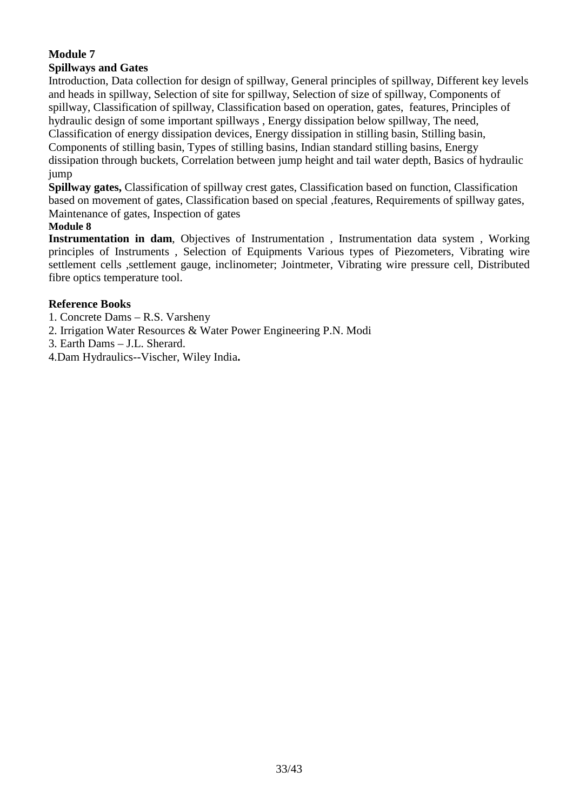#### **Module 7 Spillways and Gates**

Introduction, Data collection for design of spillway, General principles of spillway, Different key levels and heads in spillway, Selection of site for spillway, Selection of size of spillway, Components of spillway, Classification of spillway, Classification based on operation, gates, features, Principles of hydraulic design of some important spillways , Energy dissipation below spillway, The need, Classification of energy dissipation devices, Energy dissipation in stilling basin, Stilling basin, Components of stilling basin, Types of stilling basins, Indian standard stilling basins, Energy dissipation through buckets, Correlation between jump height and tail water depth, Basics of hydraulic jump

**Spillway gates,** Classification of spillway crest gates, Classification based on function, Classification based on movement of gates, Classification based on special ,features, Requirements of spillway gates, Maintenance of gates, Inspection of gates

# **Module 8**

**Instrumentation in dam**, Objectives of Instrumentation , Instrumentation data system , Working principles of Instruments , Selection of Equipments Various types of Piezometers, Vibrating wire settlement cells ,settlement gauge, inclinometer; Jointmeter, Vibrating wire pressure cell, Distributed fibre optics temperature tool.

# **Reference Books**

- 1. Concrete Dams R.S. Varsheny
- 2. Irrigation Water Resources & Water Power Engineering P.N. Modi
- 3. Earth Dams J.L. Sherard.
- 4.Dam Hydraulics--Vischer, Wiley India**.**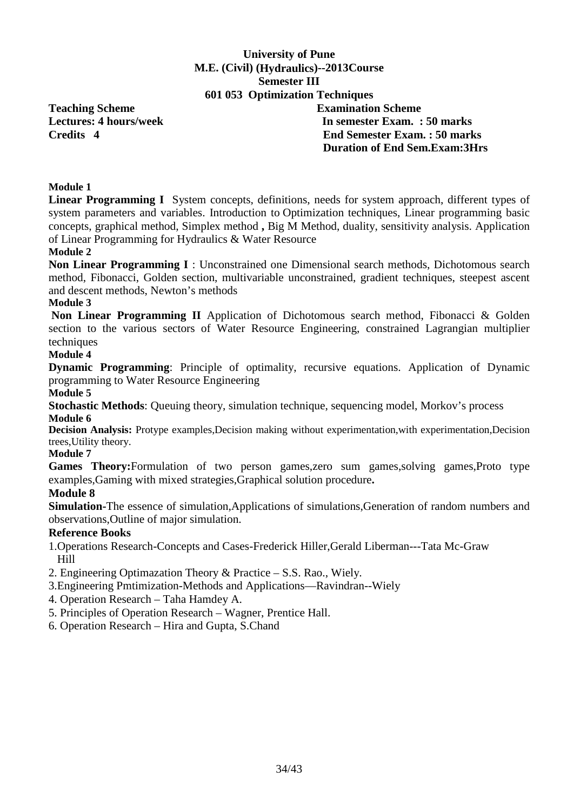# **University of Pune M.E. (Civil) (Hydraulics)--2013Course Semester III 601 053 Optimization Techniques**

**Teaching Scheme Examination Scheme** 

# **Lectures: 4 hours/week 1.1 In semester Exam. : 50 marks Credits 4 End Semester Exam. : 50 marks Duration of End Sem.Exam:3Hrs**

# **Module 1**

**Linear Programming I** System concepts, definitions, needs for system approach, different types of system parameters and variables. Introduction to Optimization techniques, Linear programming basic concepts, graphical method, Simplex method **,** Big M Method, duality, sensitivity analysis. Application of Linear Programming for Hydraulics & Water Resource

#### **Module 2**

**Non Linear Programming I** : Unconstrained one Dimensional search methods, Dichotomous search method, Fibonacci, Golden section, multivariable unconstrained, gradient techniques, steepest ascent and descent methods, Newton's methods

#### **Module 3**

**Non Linear Programming II** Application of Dichotomous search method, Fibonacci & Golden section to the various sectors of Water Resource Engineering, constrained Lagrangian multiplier techniques

# **Module 4**

**Dynamic Programming**: Principle of optimality, recursive equations. Application of Dynamic programming to Water Resource Engineering

#### **Module 5**

**Stochastic Methods**: Queuing theory, simulation technique, sequencing model, Morkov's process **Module 6** 

**Decision Analysis:** Protype examples,Decision making without experimentation,with experimentation,Decision trees,Utility theory.

#### **Module 7**

Games Theory: Formulation of two person games, zero sum games, solving games, Proto type examples,Gaming with mixed strategies,Graphical solution procedure**.** 

#### **Module 8**

**Simulation-**The essence of simulation,Applications of simulations,Generation of random numbers and observations,Outline of major simulation.

#### **Reference Books**

1.Operations Research-Concepts and Cases-Frederick Hiller,Gerald Liberman---Tata Mc-Graw Hill

2. Engineering Optimazation Theory & Practice – S.S. Rao., Wiely.

- 3.Engineering Pmtimization-Methods and Applications—Ravindran--Wiely
- 4. Operation Research Taha Hamdey A.
- 5. Principles of Operation Research Wagner, Prentice Hall.
- 6. Operation Research Hira and Gupta, S.Chand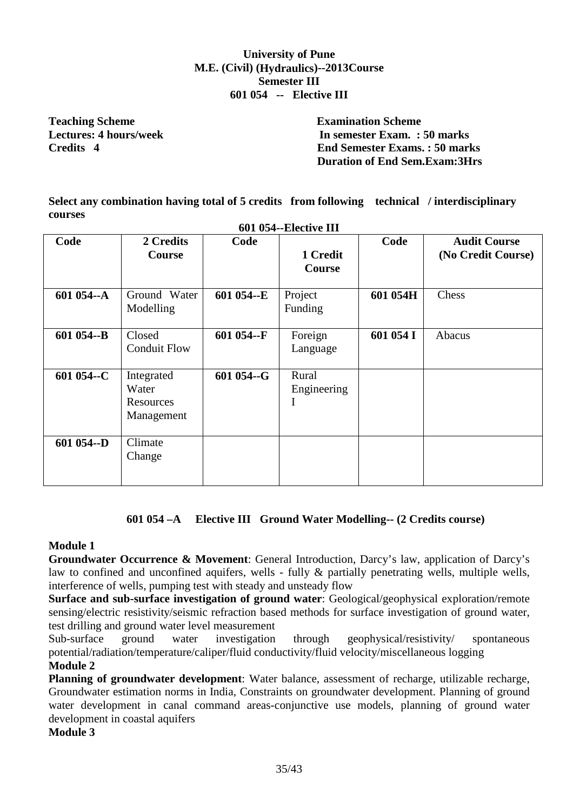# **University of Pune M.E. (Civil) (Hydraulics)--2013Course Semester III 601 054 -- Elective III**

**Teaching Scheme Examination Scheme** 

**Lectures: 4 hours/week In semester Exam. : 50 marks Credits 4 End Semester Exams. : 50 marks Duration of End Sem.Exam:3Hrs** 

**Select any combination having total of 5 credits from following technical / interdisciplinary courses** 

| 601 054--Elective III |                                                |            |                                      |           |                                           |  |  |  |  |
|-----------------------|------------------------------------------------|------------|--------------------------------------|-----------|-------------------------------------------|--|--|--|--|
| Code                  | 2 Credits<br>Course                            | Code       | 1 Credit<br><b>Course</b>            | Code      | <b>Audit Course</b><br>(No Credit Course) |  |  |  |  |
| 601 054--A            | Ground Water<br>Modelling                      | 601 054--E | Project<br>Funding                   | 601 054H  | Chess                                     |  |  |  |  |
| 601 054--B            | Closed<br><b>Conduit Flow</b>                  | 601 054--F | Foreign<br>Language                  | 601 054 I | Abacus                                    |  |  |  |  |
| 601 054--C            | Integrated<br>Water<br>Resources<br>Management | 601 054--G | Rural<br>Engineering<br>$\mathbf{I}$ |           |                                           |  |  |  |  |
| 601 054--D            | Climate<br>Change                              |            |                                      |           |                                           |  |  |  |  |

# **601 054 –A Elective III Ground Water Modelling-- (2 Credits course)**

# **Module 1**

**Groundwater Occurrence & Movement**: General Introduction, Darcy's law, application of Darcy's law to confined and unconfined aquifers, wells - fully & partially penetrating wells, multiple wells, interference of wells, pumping test with steady and unsteady flow

**Surface and sub-surface investigation of ground water**: Geological/geophysical exploration/remote sensing/electric resistivity/seismic refraction based methods for surface investigation of ground water, test drilling and ground water level measurement

Sub-surface ground water investigation through geophysical/resistivity/ spontaneous potential/radiation/temperature/caliper/fluid conductivity/fluid velocity/miscellaneous logging **Module 2** 

**Planning of groundwater development**: Water balance, assessment of recharge, utilizable recharge, Groundwater estimation norms in India, Constraints on groundwater development. Planning of ground water development in canal command areas-conjunctive use models, planning of ground water development in coastal aquifers

#### **Module 3**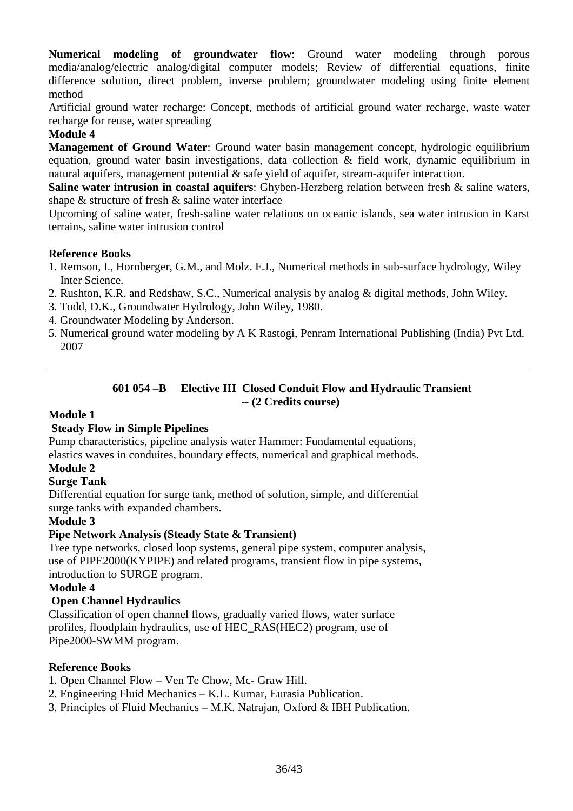**Numerical modeling of groundwater flow**: Ground water modeling through porous media/analog/electric analog/digital computer models; Review of differential equations, finite difference solution, direct problem, inverse problem; groundwater modeling using finite element method

Artificial ground water recharge: Concept, methods of artificial ground water recharge, waste water recharge for reuse, water spreading

# **Module 4**

**Management of Ground Water**: Ground water basin management concept, hydrologic equilibrium equation, ground water basin investigations, data collection & field work, dynamic equilibrium in natural aquifers, management potential & safe yield of aquifer, stream-aquifer interaction.

**Saline water intrusion in coastal aquifers**: Ghyben-Herzberg relation between fresh & saline waters, shape & structure of fresh & saline water interface

Upcoming of saline water, fresh-saline water relations on oceanic islands, sea water intrusion in Karst terrains, saline water intrusion control

### **Reference Books**

- 1. Remson, I., Hornberger, G.M., and Molz. F.J., Numerical methods in sub-surface hydrology, Wiley Inter Science.
- 2. Rushton, K.R. and Redshaw, S.C., Numerical analysis by analog & digital methods, John Wiley.
- 3. Todd, D.K., Groundwater Hydrology, John Wiley, 1980.
- 4. Groundwater Modeling by Anderson.
- 5. Numerical ground water modeling by A K Rastogi, Penram International Publishing (India) Pvt Ltd. 2007

#### **601 054 –B Elective III Closed Conduit Flow and Hydraulic Transient -- (2 Credits course)**

#### **Module 1**

# **Steady Flow in Simple Pipelines**

Pump characteristics, pipeline analysis water Hammer: Fundamental equations,

elastics waves in conduites, boundary effects, numerical and graphical methods.

# **Module 2**

# **Surge Tank**

Differential equation for surge tank, method of solution, simple, and differential surge tanks with expanded chambers.

# **Module 3**

# **Pipe Network Analysis (Steady State & Transient)**

Tree type networks, closed loop systems, general pipe system, computer analysis, use of PIPE2000(KYPIPE) and related programs, transient flow in pipe systems, introduction to SURGE program.

# **Module 4**

# **Open Channel Hydraulics**

Classification of open channel flows, gradually varied flows, water surface profiles, floodplain hydraulics, use of HEC\_RAS(HEC2) program, use of Pipe2000-SWMM program.

# **Reference Books**

- 1. Open Channel Flow Ven Te Chow, Mc- Graw Hill.
- 2. Engineering Fluid Mechanics K.L. Kumar, Eurasia Publication.
- 3. Principles of Fluid Mechanics M.K. Natrajan, Oxford & IBH Publication.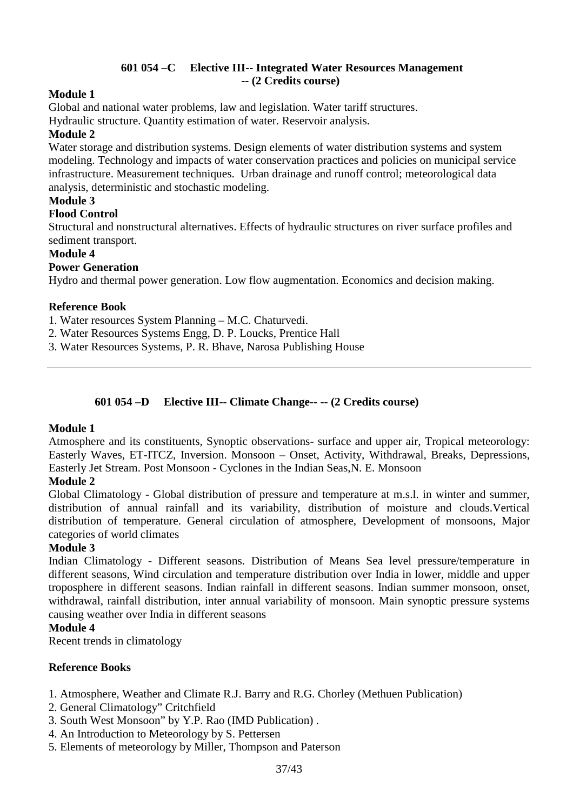# **601 054 –C Elective III-- Integrated Water Resources Management -- (2 Credits course)**

# **Module 1**

Global and national water problems, law and legislation. Water tariff structures.

Hydraulic structure. Quantity estimation of water. Reservoir analysis.

# **Module 2**

Water storage and distribution systems. Design elements of water distribution systems and system modeling. Technology and impacts of water conservation practices and policies on municipal service infrastructure. Measurement techniques. Urban drainage and runoff control; meteorological data analysis, deterministic and stochastic modeling.

# **Module 3**

### **Flood Control**

Structural and nonstructural alternatives. Effects of hydraulic structures on river surface profiles and sediment transport.

#### **Module 4**

### **Power Generation**

Hydro and thermal power generation. Low flow augmentation. Economics and decision making.

#### **Reference Book**

1. Water resources System Planning – M.C. Chaturvedi.

- 2. Water Resources Systems Engg, D. P. Loucks, Prentice Hall
- 3. Water Resources Systems, P. R. Bhave, Narosa Publishing House

# **601 054 –D Elective III-- Climate Change-- -- (2 Credits course)**

#### **Module 1**

Atmosphere and its constituents, Synoptic observations- surface and upper air, Tropical meteorology: Easterly Waves, ET-ITCZ, Inversion. Monsoon – Onset, Activity, Withdrawal, Breaks, Depressions, Easterly Jet Stream. Post Monsoon - Cyclones in the Indian Seas,N. E. Monsoon

# **Module 2**

Global Climatology - Global distribution of pressure and temperature at m.s.l. in winter and summer, distribution of annual rainfall and its variability, distribution of moisture and clouds.Vertical distribution of temperature. General circulation of atmosphere, Development of monsoons, Major categories of world climates

#### **Module 3**

Indian Climatology - Different seasons. Distribution of Means Sea level pressure/temperature in different seasons, Wind circulation and temperature distribution over India in lower, middle and upper troposphere in different seasons. Indian rainfall in different seasons. Indian summer monsoon, onset, withdrawal, rainfall distribution, inter annual variability of monsoon. Main synoptic pressure systems causing weather over India in different seasons

#### **Module 4**

Recent trends in climatology

# **Reference Books**

- 1. Atmosphere, Weather and Climate R.J. Barry and R.G. Chorley (Methuen Publication)
- 2. General Climatology" Critchfield
- 3. South West Monsoon" by Y.P. Rao (IMD Publication) .
- 4. An Introduction to Meteorology by S. Pettersen
- 5. Elements of meteorology by Miller, Thompson and Paterson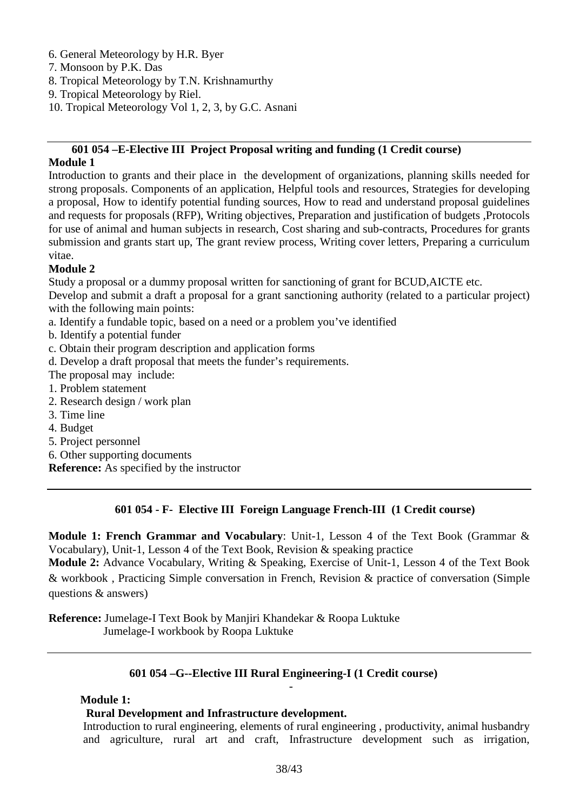- 6. General Meteorology by H.R. Byer
- 7. Monsoon by P.K. Das
- 8. Tropical Meteorology by T.N. Krishnamurthy
- 9. Tropical Meteorology by Riel.
- 10. Tropical Meteorology Vol 1, 2, 3, by G.C. Asnani

# **601 054 –E-Elective III Project Proposal writing and funding (1 Credit course)**

#### **Module 1**

Introduction to grants and their place in the development of organizations, planning skills needed for strong proposals. Components of an application, Helpful tools and resources, Strategies for developing a proposal, How to identify potential funding sources, How to read and understand proposal guidelines and requests for proposals (RFP), Writing objectives, Preparation and justification of budgets ,Protocols for use of animal and human subjects in research, Cost sharing and sub-contracts, Procedures for grants submission and grants start up, The grant review process, Writing cover letters, Preparing a curriculum vitae.

### **Module 2**

Study a proposal or a dummy proposal written for sanctioning of grant for BCUD,AICTE etc.

Develop and submit a draft a proposal for a grant sanctioning authority (related to a particular project) with the following main points:

- a. Identify a fundable topic, based on a need or a problem you've identified
- b. Identify a potential funder
- c. Obtain their program description and application forms
- d. Develop a draft proposal that meets the funder's requirements.
- The proposal may include:
- 1. Problem statement
- 2. Research design / work plan
- 3. Time line
- 4. Budget
- 5. Project personnel
- 6. Other supporting documents

**Reference:** As specified by the instructor

# **601 054 - F- Elective III Foreign Language French-III (1 Credit course)**

**Module 1: French Grammar and Vocabulary**: Unit-1, Lesson 4 of the Text Book (Grammar & Vocabulary), Unit-1, Lesson 4 of the Text Book, Revision & speaking practice

**Module 2:** Advance Vocabulary, Writing & Speaking, Exercise of Unit-1, Lesson 4 of the Text Book & workbook , Practicing Simple conversation in French, Revision & practice of conversation (Simple questions & answers)

**Reference:** Jumelage-I Text Book by Manjiri Khandekar & Roopa Luktuke Jumelage-I workbook by Roopa Luktuke

# **601 054 –G--Elective III Rural Engineering-I (1 Credit course)**

-

#### **Module 1:**

#### **Rural Development and Infrastructure development.**

Introduction to rural engineering, elements of rural engineering , productivity, animal husbandry and agriculture, rural art and craft, Infrastructure development such as irrigation,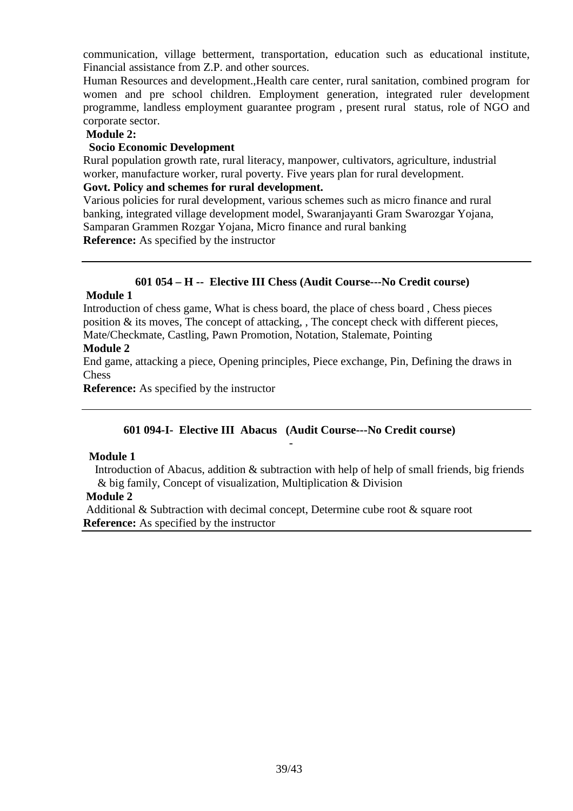communication, village betterment, transportation, education such as educational institute, Financial assistance from Z.P. and other sources.

Human Resources and development.,Health care center, rural sanitation, combined program for women and pre school children. Employment generation, integrated ruler development programme, landless employment guarantee program , present rural status, role of NGO and corporate sector.

#### **Module 2:**

#### **Socio Economic Development**

Rural population growth rate, rural literacy, manpower, cultivators, agriculture, industrial worker, manufacture worker, rural poverty. Five years plan for rural development.

#### **Govt. Policy and schemes for rural development.**

Various policies for rural development, various schemes such as micro finance and rural banking, integrated village development model, Swaranjayanti Gram Swarozgar Yojana, Samparan Grammen Rozgar Yojana, Micro finance and rural banking **Reference:** As specified by the instructor

### **601 054 – H -- Elective III Chess (Audit Course---No Credit course)**

#### **Module 1**

Introduction of chess game, What is chess board, the place of chess board , Chess pieces position & its moves, The concept of attacking, , The concept check with different pieces, Mate/Checkmate, Castling, Pawn Promotion, Notation, Stalemate, Pointing

#### **Module 2**

End game, attacking a piece, Opening principles, Piece exchange, Pin, Defining the draws in Chess

**Reference:** As specified by the instructor

#### **601 094-I- Elective III Abacus (Audit Course---No Credit course)** -

#### **Module 1**

 Introduction of Abacus, addition & subtraction with help of help of small friends, big friends & big family, Concept of visualization, Multiplication & Division

#### **Module 2**

 Additional & Subtraction with decimal concept, Determine cube root & square root **Reference:** As specified by the instructor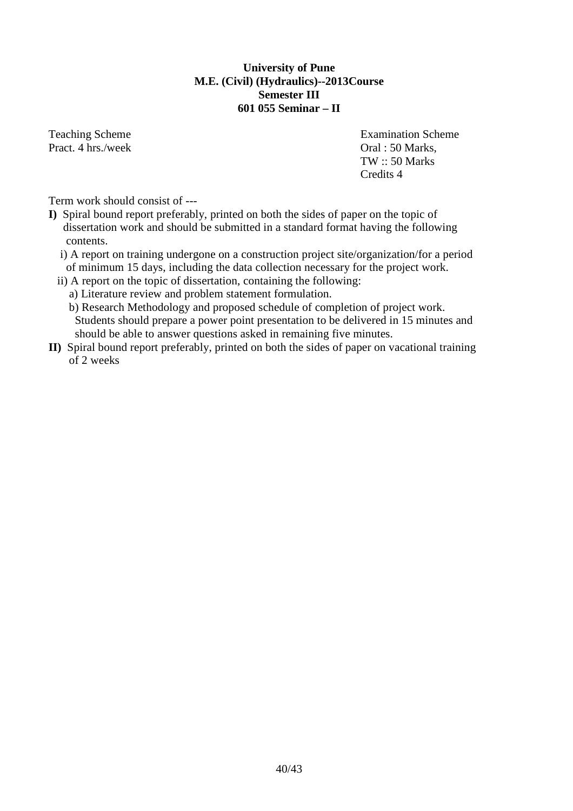### **University of Pune M.E. (Civil) (Hydraulics)--2013Course Semester III 601 055 Seminar – II**

Pract. 4 hrs./week Oral : 50 Marks,

Teaching Scheme **Examination** Scheme **Examination** Scheme TW :: 50 Marks Credits 4

Term work should consist of ---

- **I)** Spiral bound report preferably, printed on both the sides of paper on the topic of dissertation work and should be submitted in a standard format having the following contents.
	- i) A report on training undergone on a construction project site/organization/for a period of minimum 15 days, including the data collection necessary for the project work.
	- ii) A report on the topic of dissertation, containing the following:
		- a) Literature review and problem statement formulation.
		- b) Research Methodology and proposed schedule of completion of project work. Students should prepare a power point presentation to be delivered in 15 minutes and should be able to answer questions asked in remaining five minutes.
- **II)** Spiral bound report preferably, printed on both the sides of paper on vacational training of 2 weeks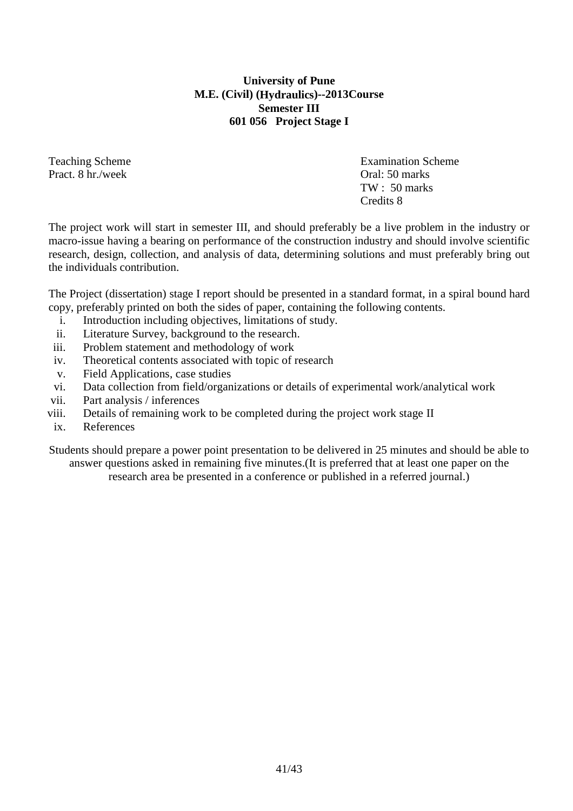# **University of Pune M.E. (Civil) (Hydraulics)--2013Course Semester III 601 056 Project Stage I**

Pract. 8 hr./week Oral: 50 marks

Teaching Scheme Examination Scheme TW : 50 marks Credits 8

The project work will start in semester III, and should preferably be a live problem in the industry or macro-issue having a bearing on performance of the construction industry and should involve scientific research, design, collection, and analysis of data, determining solutions and must preferably bring out the individuals contribution.

The Project (dissertation) stage I report should be presented in a standard format, in a spiral bound hard copy, preferably printed on both the sides of paper, containing the following contents.

- i. Introduction including objectives, limitations of study.
- ii. Literature Survey, background to the research.
- iii. Problem statement and methodology of work
- iv. Theoretical contents associated with topic of research
- v. Field Applications, case studies
- vi. Data collection from field/organizations or details of experimental work/analytical work
- vii. Part analysis / inferences
- viii. Details of remaining work to be completed during the project work stage II
- ix. References

Students should prepare a power point presentation to be delivered in 25 minutes and should be able to answer questions asked in remaining five minutes.(It is preferred that at least one paper on the research area be presented in a conference or published in a referred journal.)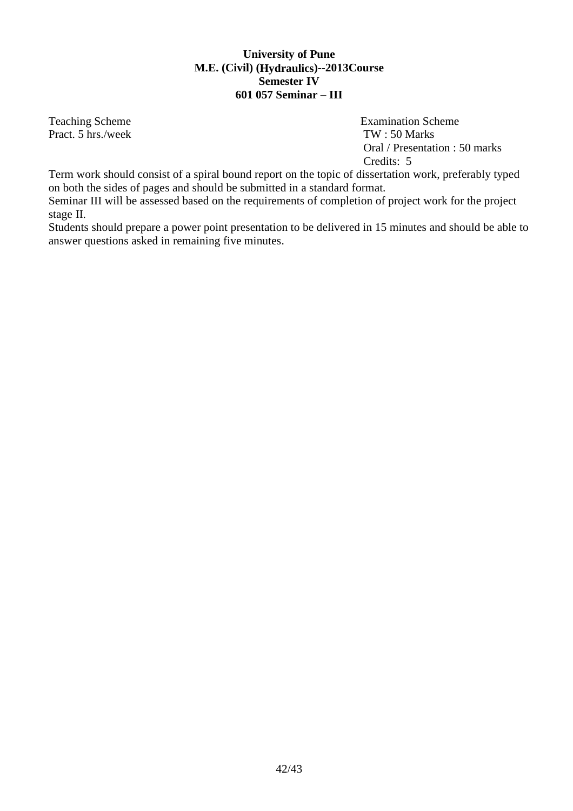# **University of Pune M.E. (Civil) (Hydraulics)--2013Course Semester IV 601 057 Seminar – III**

Pract. 5 hrs./week TW : 50 Marks

Teaching Scheme **Examination** Scheme **Examination** Scheme Oral / Presentation : 50 marks Credits: 5

Term work should consist of a spiral bound report on the topic of dissertation work, preferably typed on both the sides of pages and should be submitted in a standard format.

Seminar III will be assessed based on the requirements of completion of project work for the project stage II.

Students should prepare a power point presentation to be delivered in 15 minutes and should be able to answer questions asked in remaining five minutes.